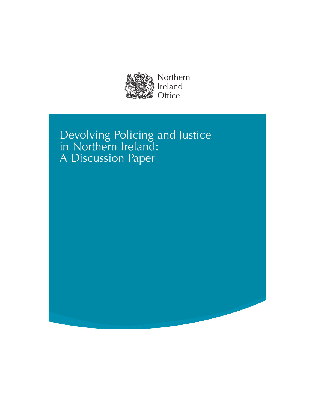

# Devolving Policing and Justice in Northern Ireland: A Discussion Paper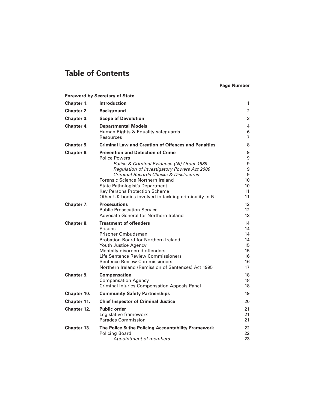## **Table of Contents**

#### **Page Number**

|                   | <b>Foreword by Secretary of State</b>                                                       |                       |
|-------------------|---------------------------------------------------------------------------------------------|-----------------------|
| Chapter 1.        | <b>Introduction</b>                                                                         | 1                     |
| <b>Chapter 2.</b> | <b>Background</b>                                                                           | $\overline{2}$        |
| Chapter 3.        | <b>Scope of Devolution</b>                                                                  | 3                     |
| Chapter 4.        | <b>Departmental Models</b>                                                                  | 4                     |
|                   | Human Rights & Equality safeguards                                                          | $6\,$                 |
|                   | <b>Resources</b>                                                                            | $\overline{7}$        |
| <b>Chapter 5.</b> | <b>Criminal Law and Creation of Offences and Penalties</b>                                  | 8                     |
| Chapter 6.        | <b>Prevention and Detection of Crime</b>                                                    | 9                     |
|                   | <b>Police Powers</b>                                                                        | $\boldsymbol{9}$      |
|                   | Police & Criminal Evidence (NI) Order 1989                                                  | $\boldsymbol{9}$<br>9 |
|                   | <b>Regulation of Investigatory Powers Act 2000</b><br>Criminal Records Checks & Disclosures | 9                     |
|                   | <b>Forensic Science Northern Ireland</b>                                                    | 10                    |
|                   | <b>State Pathologist's Department</b>                                                       | 10                    |
|                   | <b>Key Persons Protection Scheme</b>                                                        | 11                    |
|                   | Other UK bodies involved in tackling criminality in NI                                      | 11                    |
| Chapter 7.        | <b>Prosecutions</b>                                                                         | 12                    |
|                   | <b>Public Prosecution Service</b>                                                           | 12                    |
|                   | <b>Advocate General for Northern Ireland</b>                                                | 13                    |
| Chapter 8.        | <b>Treatment of offenders</b>                                                               | 14                    |
|                   | Prisons                                                                                     | 14                    |
|                   | Prisoner Ombudsman<br><b>Probation Board for Northern Ireland</b>                           | 14<br>14              |
|                   | <b>Youth Justice Agency</b>                                                                 | 15                    |
|                   | Mentally disordered offenders                                                               | 15                    |
|                   | <b>Life Sentence Review Commissioners</b>                                                   | 16                    |
|                   | <b>Sentence Review Commissioners</b>                                                        | 16                    |
|                   | Northern Ireland (Remission of Sentences) Act 1995                                          | 17                    |
| Chapter 9.        | <b>Compensation</b>                                                                         | 18                    |
|                   | <b>Compensation Agency</b>                                                                  | 18                    |
|                   | <b>Criminal Injuries Compensation Appeals Panel</b>                                         | 18                    |
| Chapter 10.       | <b>Community Safety Partnerships</b>                                                        | 19                    |
| Chapter 11.       | <b>Chief Inspector of Criminal Justice</b>                                                  | 20                    |
| Chapter 12.       | <b>Public order</b>                                                                         | 21                    |
|                   | Legislative framework                                                                       | 21                    |
|                   | <b>Parades Commission</b>                                                                   | 21                    |
| Chapter 13.       | The Police & the Policing Accountability Framework                                          | 22                    |
|                   | <b>Policing Board</b>                                                                       | 22                    |
|                   | Appointment of members                                                                      | 23                    |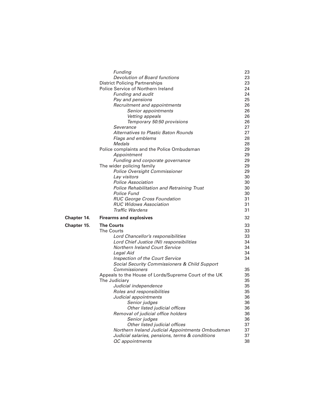|             | Funding                                                                   | 23       |
|-------------|---------------------------------------------------------------------------|----------|
|             | <b>Devolution of Board functions</b>                                      | 23       |
|             | <b>District Policing Partnerships</b>                                     | 23       |
|             | <b>Police Service of Northern Ireland</b>                                 | 24       |
|             | <b>Funding and audit</b>                                                  | 24       |
|             | Pay and pensions                                                          | 25       |
|             | Recruitment and appointments                                              | 26       |
|             | Senior appointments                                                       | 26       |
|             | Vetting appeals                                                           | 26       |
|             | Temporary 50:50 provisions                                                | 26       |
|             | Severance                                                                 | 27       |
|             | <b>Alternatives to Plastic Baton Rounds</b>                               | 27       |
|             | <b>Flags and emblems</b>                                                  | 28       |
|             | <b>Medals</b>                                                             | 28       |
|             | Police complaints and the Police Ombudsman                                | 29       |
|             | Appointment                                                               | 29       |
|             | Funding and corporate governance                                          | 29       |
|             | The wider policing family                                                 | 29       |
|             | <b>Police Oversight Commissioner</b>                                      | 29       |
|             | Lay visitors                                                              | 30       |
|             | <b>Police Association</b>                                                 | 30       |
|             | <b>Police Rehabilitation and Retraining Trust</b>                         | 30       |
|             | <b>Police Fund</b>                                                        | 30       |
|             | <b>RUC George Cross Foundation</b>                                        | 31       |
|             | <b>RUC Widows Association</b>                                             | 31       |
|             | <b>Traffic Wardens</b>                                                    | 31       |
| Chapter 14. | <b>Firearms and explosives</b>                                            | 32       |
| Chapter 15. | <b>The Courts</b>                                                         | 33       |
|             | <b>The Courts</b>                                                         | 33       |
|             | Lord Chancellor's responsibilities                                        | 33       |
|             | Lord Chief Justice (NI) responsibilities                                  | 34       |
|             | <b>Northern Ireland Court Service</b>                                     | 34       |
|             | Legal Aid                                                                 | 34       |
|             | <b>Inspection of the Court Service</b>                                    | 34       |
|             | <b>Social Security Commissioners &amp; Child Support</b>                  |          |
|             | <b>Commissioners</b>                                                      | 35       |
|             | Appeals to the House of Lords/Supreme Court of the UK                     | 35       |
|             | The Judiciary                                                             | 35       |
|             | Judicial independence                                                     | 35       |
|             | Roles and responsibilities                                                | 35       |
|             | Judicial appointments                                                     | 36       |
|             | Senior judges                                                             | 36       |
|             | Other listed judicial offices                                             | 36       |
|             | Removal of judicial office holders                                        | 36       |
|             |                                                                           | 36       |
|             | Senior judges                                                             |          |
|             | Other listed judicial offices                                             | 37       |
|             | Northern Ireland Judicial Appointments Ombudsman                          | 37       |
|             | Judicial salaries, pensions, terms & conditions<br><b>QC</b> appointments | 37<br>38 |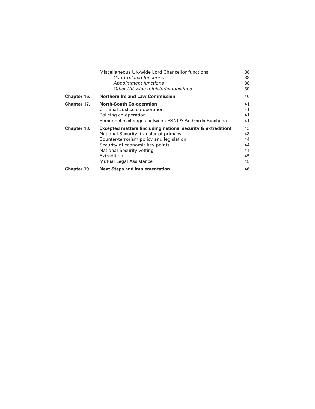|             | Miscellaneous UK-wide Lord Chancellor functions                         | 38 |
|-------------|-------------------------------------------------------------------------|----|
|             | <b>Court-related functions</b>                                          | 38 |
|             | <b>Appointment functions</b>                                            | 38 |
|             | Other UK-wide ministerial functions                                     | 39 |
| Chapter 16. | <b>Northern Ireland Law Commission</b>                                  | 40 |
| Chapter 17. | <b>North-South Co-operation</b>                                         | 41 |
|             | Criminal Justice co-operation                                           | 41 |
|             | Policing co-operation                                                   | 41 |
|             | Personnel exchanges between PSNI & An Garda Siochana                    | 41 |
| Chapter 18. | <b>Excepted matters (including national security &amp; extradition)</b> | 43 |
|             | National Security: transfer of primacy                                  | 43 |
|             | Counter-terrorism policy and legislation                                | 44 |
|             | Security of economic key points                                         | 44 |
|             | <b>National Security vetting</b>                                        | 44 |
|             | Extradition                                                             | 45 |
|             | <b>Mutual Legal Assistance</b>                                          | 45 |
| Chapter 19. | <b>Next Steps and Implementation</b>                                    | 46 |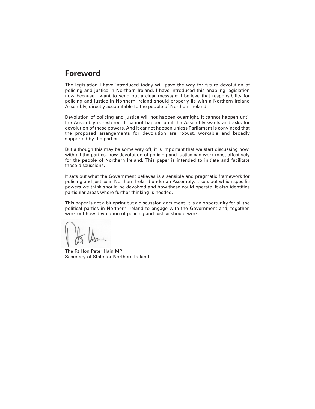### **Foreword**

The legislation I have introduced today will pave the way for future devolution of policing and justice in Northern Ireland. I have introduced this enabling legislation now because I want to send out a clear message: I believe that responsibility for policing and justice in Northern Ireland should properly lie with a Northern Ireland Assembly, directly accountable to the people of Northern Ireland.

Devolution of policing and justice will not happen overnight. It cannot happen until the Assembly is restored. It cannot happen until the Assembly wants and asks for devolution of these powers. And it cannot happen unless Parliament is convinced that the proposed arrangements for devolution are robust, workable and broadly supported by the parties.

But although this may be some way off, it is important that we start discussing now, with all the parties, how devolution of policing and justice can work most effectively for the people of Northern Ireland. This paper is intended to initiate and facilitate those discussions.

It sets out what the Government believes is a sensible and pragmatic framework for policing and justice in Northern Ireland under an Assembly. It sets out which specific powers we think should be devolved and how these could operate. It also identifies particular areas where further thinking is needed.

This paper is not a blueprint but a discussion document. It is an opportunity for all the political parties in Northern Ireland to engage with the Government and, together, work out how devolution of policing and justice should work.

The Rt Hon Peter Hain MP Secretary of State for Northern Ireland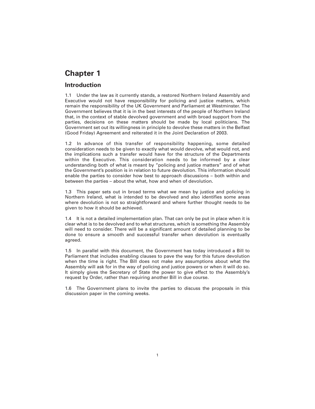### **Introduction**

1.1 Under the law as it currently stands, a restored Northern Ireland Assembly and Executive would not have responsibility for policing and justice matters, which remain the responsibility of the UK Government and Parliament at Westminster. The Government believes that it is in the best interests of the people of Northern Ireland that, in the context of stable devolved government and with broad support from the parties, decisions on these matters should be made by local politicians. The Government set out its willingness in principle to devolve these matters in the Belfast (Good Friday) Agreement and reiterated it in the Joint Declaration of 2003.

1.2 In advance of this transfer of responsibility happening, some detailed consideration needs to be given to exactly what would devolve, what would not, and the implications such a transfer would have for the structure of the Departments within the Executive. This consideration needs to be informed by a clear understanding both of what is meant by "policing and justice matters" and of what the Government's position is in relation to future devolution. This information should enable the parties to consider how best to approach discussions – both within and between the parties – about the what, how and when of devolution.

1.3 This paper sets out in broad terms what we mean by justice and policing in Northern Ireland, what is intended to be devolved and also identifies some areas where devolution is not so straightforward and where further thought needs to be given to how it should be achieved.

1.4 It is not a detailed implementation plan. That can only be put in place when it is clear what is to be devolved and to what structures, which is something the Assembly will need to consider. There will be a significant amount of detailed planning to be done to ensure a smooth and successful transfer when devolution is eventually agreed.

1.5 In parallel with this document, the Government has today introduced a Bill to Parliament that includes enabling clauses to pave the way for this future devolution when the time is right. The Bill does not make any assumptions about what the Assembly will ask for in the way of policing and justice powers or when it will do so. It simply gives the Secretary of State the power to give effect to the Assembly's request by Order, rather than requiring another Bill in due course.

1.6 The Government plans to invite the parties to discuss the proposals in this discussion paper in the coming weeks.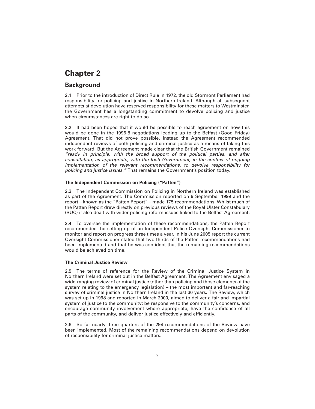### **Background**

2.1 Prior to the introduction of Direct Rule in 1972, the old Stormont Parliament had responsibility for policing and justice in Northern Ireland. Although all subsequent attempts at devolution have reserved responsibility for these matters to Westminster, the Government has a longstanding commitment to devolve policing and justice when circumstances are right to do so.

2.2 It had been hoped that it would be possible to reach agreement on how this would be done in the 1996-8 negotiations leading up to the Belfast (Good Friday) Agreement. That did not prove possible. Instead the Agreement recommended independent reviews of both policing and criminal justice as a means of taking this work forward. But the Agreement made clear that the British Government remained *"ready in principle, with the broad support of the political parties, and after consultation, as appropriate, with the Irish Government, in the context of ongoing implementation of the relevant recommendations, to devolve responsibility for policing and justice issues."* That remains the Government's position today.

#### **The Independent Commission on Policing ("Patten")**

2.3 The Independent Commission on Policing in Northern Ireland was established as part of the Agreement. The Commission reported on 9 September 1999 and the report – known as the "Patten Report" – made 175 recommendations. Whilst much of the Patten Report drew directly on previous reviews of the Royal Ulster Constabulary (RUC) it also dealt with wider policing reform issues linked to the Belfast Agreement.

2.4 To oversee the implementation of these recommendations, the Patten Report recommended the setting up of an Independent Police Oversight Commissioner to monitor and report on progress three times a year. In his June 2005 report the current Oversight Commissioner stated that two thirds of the Patten recommendations had been implemented and that he was confident that the remaining recommendations would be achieved on time.

#### **The Criminal Justice Review**

2.5 The terms of reference for the Review of the Criminal Justice System in Northern Ireland were set out in the Belfast Agreement. The Agreement envisaged a wide-ranging review of criminal justice (other than policing and those elements of the system relating to the emergency legislation) – the most important and far-reaching survey of criminal justice in Northern Ireland in the last 30 years. The Review, which was set up in 1998 and reported in March 2000, aimed to deliver a fair and impartial system of justice to the community; be responsive to the community's concerns, and encourage community involvement where appropriate; have the confidence of all parts of the community, and deliver justice effectively and efficiently.

2.6 So far nearly three quarters of the 294 recommendations of the Review have been implemented. Most of the remaining recommendations depend on devolution of responsibility for criminal justice matters.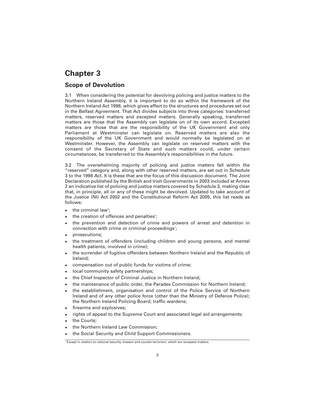### **Scope of Devolution**

3.1 When considering the potential for devolving policing and justice matters to the Northern Ireland Assembly, it is important to do so within the framework of the Northern Ireland Act 1998, which gives effect to the structures and procedures set out in the Belfast Agreement. That Act divides subjects into three categories: transferred matters, reserved matters and excepted matters. Generally speaking, transferred matters are those that the Assembly can legislate on of its own accord. Excepted matters are those that are the responsibility of the UK Government and only Parliament at Westminster can legislate on. Reserved matters are also the responsibility of the UK Government and would normally be legislated on at Westminster. However, the Assembly can legislate on reserved matters with the consent of the Secretary of State and such matters could, under certain circumstances, be transferred to the Assembly's responsibilities in the future.

3.2 The overwhelming majority of policing and justice matters fall within the "reserved" category and, along with other reserved matters, are set out in Schedule 3 to the 1998 Act. It is these that are the focus of this discussion document. The Joint Declaration published by the British and Irish Governments in 2003 included at Annex 2 an indicative list of policing and justice matters covered by Schedule 3, making clear that, in principle, all or any of these might be devolved. Updated to take account of the Justice (NI) Act 2002 and the Constitutional Reform Act 2005, this list reads as follows:

- $\bullet$  the criminal law<sup>1</sup>;
- the creation of offences and penalties<sup>1</sup>;
- the prevention and detection of crime and powers of arrest and detention in connection with crime or criminal proceedings<sup>1</sup>;
- prosecutions;
- the treatment of offenders (including children and young persons, and mental health patients, involved in crime);
- the surrender of fugitive offenders between Northern Ireland and the Republic of Ireland;
- compensation out of public funds for victims of crime;
- local community safety partnerships;
- the Chief Inspector of Criminal Justice in Northern Ireland;
- the maintenance of public order, the Parades Commission for Northern Ireland;
- the establishment, organisation and control of the Police Service of Northern Ireland and of any other police force (other than the Ministry of Defence Police); the Northern Ireland Policing Board; traffic wardens;
- firearms and explosives;
- rights of appeal to the Supreme Court and associated legal aid arrangements;
- the Courts;
- the Northern Ireland Law Commission;
- the Social Security and Child Support Commissioners.

<sup>1</sup> Except in relation to national security, treason and counter-terrorism, which are excepted matters.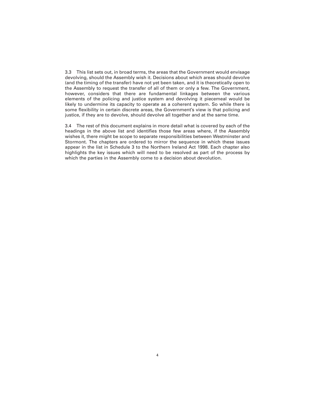3.3 This list sets out, in broad terms, the areas that the Government would envisage devolving, should the Assembly wish it. Decisions about which areas should devolve (and the timing of the transfer) have not yet been taken, and it is theoretically open to the Assembly to request the transfer of all of them or only a few. The Government, however, considers that there are fundamental linkages between the various elements of the policing and justice system and devolving it piecemeal would be likely to undermine its capacity to operate as a coherent system. So while there is some flexibility in certain discrete areas, the Government's view is that policing and justice, if they are to devolve, should devolve all together and at the same time.

3.4 The rest of this document explains in more detail what is covered by each of the headings in the above list and identifies those few areas where, if the Assembly wishes it, there might be scope to separate responsibilities between Westminster and Stormont. The chapters are ordered to mirror the sequence in which these issues appear in the list in Schedule 3 to the Northern Ireland Act 1998. Each chapter also highlights the key issues which will need to be resolved as part of the process by which the parties in the Assembly come to a decision about devolution.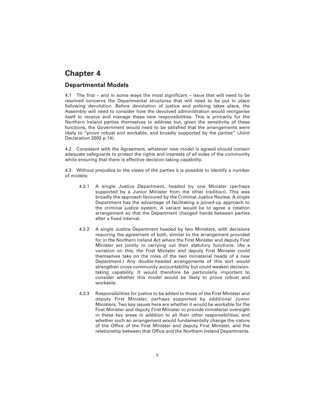### **Departmental Models**

4.1 The first – and in some ways the most significant – issue that will need to be resolved concerns the Departmental structures that will need to be put in place following devolution. Before devolution of justice and policing takes place, the Assembly will need to consider how the devolved administration would reorganise itself to receive and manage these new responsibilities. This is primarily for the Northern Ireland parties themselves to address but, given the sensitivity of these functions, the Government would need to be satisfied that the arrangements were likely to "prove robust and workable, and broadly supported by the parties" (Joint Declaration 2003 p.14).

4.2 Consistent with the Agreement, whatever new model is agreed should contain adequate safeguards to protect the rights and interests of all sides of the community while ensuring that there is effective decision-taking capability.

4.3 Without prejudice to the views of the parties it is possible to identify a number of models:

- 4.3.1 A single Justice Department, headed by one Minister (perhaps supported by a Junior Minister from the other tradition). This was broadly the approach favoured by the Criminal Justice Review. A single Department has the advantage of facilitating a joined-up approach to the criminal justice system. A variant would be to agree a rotation arrangement so that the Department changed hands between parties after a fixed interval.
- 4.3.2 A single Justice Department headed by two Ministers, with decisions requiring the agreement of both, similar to the arrangement provided for in the Northern Ireland Act where the First Minister and deputy First Minister act jointly in carrying out their statutory functions. (As a variation on this, the First Minister and deputy First Minister could themselves take on the roles of the two ministerial heads of a new Department.) Any double-headed arrangements of this sort would strengthen cross-community accountability but could weaken decisiontaking capability. It would therefore be particularly important to consider whether this model would be likely to prove robust and workable.
- 4.3.3 Responsibilities for justice to be added to those of the First Minister and deputy First Minister, perhaps supported by additional Junior Ministers. Two key issues here are whether it would be workable for the First Minister and deputy First Minister to provide ministerial oversight in these key areas in addition to all their other responsibilities; and whether such an arrangement would fundamentally change the nature of the Office of the First Minister and deputy First Minister, and the relationship between that Office and the Northern Ireland Departments.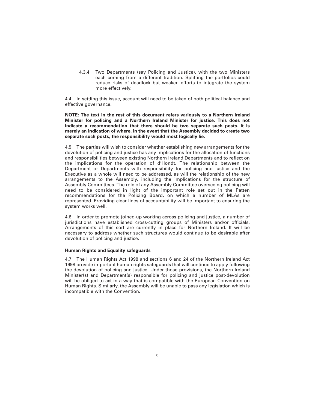4.3.4 Two Departments (say Policing and Justice), with the two Ministers each coming from a different tradition. Splitting the portfolios could reduce risks of deadlock but weaken efforts to integrate the system more effectively.

4.4 In settling this issue, account will need to be taken of both political balance and effective governance.

**NOTE: The text in the rest of this document refers variously to a Northern Ireland Minister for policing and a Northern Ireland Minister for justice. This does not indicate a recommendation that there should be two separate such posts. It is merely an indication of where, in the event that the Assembly decided to create two separate such posts, the responsibility would most logically lie.**

4.5 The parties will wish to consider whether establishing new arrangements for the devolution of policing and justice has any implications for the allocation of functions and responsibilities between existing Northern Ireland Departments and to reflect on the implications for the operation of d'Hondt. The relationship between the Department or Departments with responsibility for policing and justice and the Executive as a whole will need to be addressed, as will the relationship of the new arrangements to the Assembly, including the implications for the structure of Assembly Committees. The role of any Assembly Committee overseeing policing will need to be considered in light of the important role set out in the Patten recommendations for the Policing Board, on which a number of MLAs are represented. Providing clear lines of accountability will be important to ensuring the system works well.

4.6 In order to promote joined-up working across policing and justice, a number of jurisdictions have established cross-cutting groups of Ministers and/or officials. Arrangements of this sort are currently in place for Northern Ireland. It will be necessary to address whether such structures would continue to be desirable after devolution of policing and justice.

#### **Human Rights and Equality safeguards**

4.7 The Human Rights Act 1998 and sections 6 and 24 of the Northern Ireland Act 1998 provide important human rights safeguards that will continue to apply following the devolution of policing and justice. Under those provisions, the Northern Ireland Minister(s) and Department(s) responsible for policing and justice post-devolution will be obliged to act in a way that is compatible with the European Convention on Human Rights. Similarly, the Assembly will be unable to pass any legislation which is incompatible with the Convention.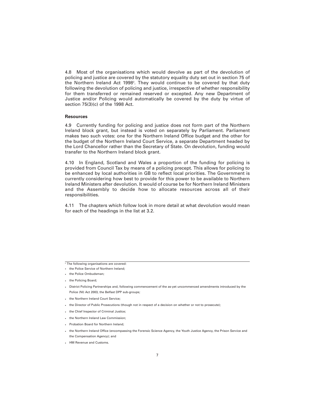4.8 Most of the organisations which would devolve as part of the devolution of policing and justice are covered by the statutory equality duty set out in section 75 of the Northern Ireland Act 1998<sup>2</sup>. They would continue to be covered by that duty following the devolution of policing and justice, irrespective of whether responsibility for them transferred or remained reserved or excepted. Any new Department of Justice and/or Policing would automatically be covered by the duty by virtue of section 75(3)(c) of the 1998 Act.

#### **Resources**

4.9 Currently funding for policing and justice does not form part of the Northern Ireland block grant, but instead is voted on separately by Parliament. Parliament makes two such votes: one for the Northern Ireland Office budget and the other for the budget of the Northern Ireland Court Service, a separate Department headed by the Lord Chancellor rather than the Secretary of State. On devolution, funding would transfer to the Northern Ireland block grant.

4.10 In England, Scotland and Wales a proportion of the funding for policing is provided from Council Tax by means of a policing precept. This allows for policing to be enhanced by local authorities in GB to reflect local priorities. The Government is currently considering how best to provide for this power to be available to Northern Ireland Ministers after devolution. It would of course be for Northern Ireland Ministers and the Assembly to decide how to allocate resources across all of their responsibilities.

4.11 The chapters which follow look in more detail at what devolution would mean for each of the headings in the list at 3.2.

 $\sqrt{2}$  The following organisations are covered:

- the Police Service of Northern Ireland;
- the Police Ombudsman;
- the Policing Board;
- District Policing Partnerships and, following commencement of the as-yet uncommenced amendments introduced by the Police (NI) Act 2003, the Belfast DPP sub-groups;
- the Northern Ireland Court Service;
- the Director of Public Prosecutions (though not in respect of a decision on whether or not to prosecute);
- the Chief Inspector of Criminal Justice;
- the Northern Ireland Law Commission;
- Probation Board for Northern Ireland;
- the Northern Ireland Office (encompassing the Forensic Science Agency, the Youth Justice Agency, the Prison Service and the Compensation Agency); and
- HM Revenue and Customs.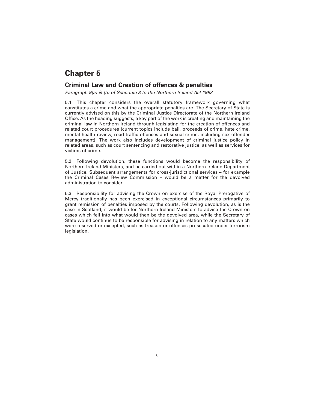### **Criminal Law and Creation of offences & penalties**

*Paragraph 9(a) & (b) of Schedule 3 to the Northern Ireland Act 1998*

5.1 This chapter considers the overall statutory framework governing what constitutes a crime and what the appropriate penalties are. The Secretary of State is currently advised on this by the Criminal Justice Directorate of the Northern Ireland Office. As the heading suggests, a key part of the work is creating and maintaining the criminal law in Northern Ireland through legislating for the creation of offences and related court procedures (current topics include bail, proceeds of crime, hate crime, mental health review, road traffic offences and sexual crime, including sex offender management). The work also includes development of criminal justice policy in related areas, such as court sentencing and restorative justice, as well as services for victims of crime.

5.2 Following devolution, these functions would become the responsibility of Northern Ireland Ministers, and be carried out within a Northern Ireland Department of Justice. Subsequent arrangements for cross-jurisdictional services – for example the Criminal Cases Review Commission – would be a matter for the devolved administration to consider.

5.3 Responsibility for advising the Crown on exercise of the Royal Prerogative of Mercy traditionally has been exercised in exceptional circumstances primarily to grant remission of penalties imposed by the courts. Following devolution, as is the case in Scotland, it would be for Northern Ireland Ministers to advise the Crown on cases which fell into what would then be the devolved area, while the Secretary of State would continue to be responsible for advising in relation to any matters which were reserved or excepted, such as treason or offences prosecuted under terrorism legislation.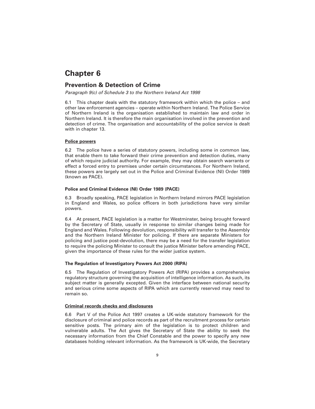### **Prevention & Detection of Crime**

*Paragraph 9(c) of Schedule 3 to the Northern Ireland Act 1998*

6.1 This chapter deals with the statutory framework within which the police – and other law enforcement agencies – operate within Northern Ireland. The Police Service of Northern Ireland is the organisation established to maintain law and order in Northern Ireland. It is therefore the main organisation involved in the prevention and detection of crime. The organisation and accountability of the police service is dealt with in chapter 13.

#### **Police powers**

6.2 The police have a series of statutory powers, including some in common law, that enable them to take forward their crime prevention and detection duties, many of which require judicial authority. For example, they may obtain search warrants or effect a forced entry to premises under certain circumstances. For Northern Ireland, these powers are largely set out in the Police and Criminal Evidence (NI) Order 1989 (known as PACE).

#### **Police and Criminal Evidence (NI) Order 1989 (PACE)**

6.3 Broadly speaking, PACE legislation in Northern Ireland mirrors PACE legislation in England and Wales, so police officers in both jurisdictions have very similar powers.

6.4 At present, PACE legislation is a matter for Westminster, being brought forward by the Secretary of State, usually in response to similar changes being made for England and Wales. Following devolution, responsibility will transfer to the Assembly and the Northern Ireland Minister for policing. If there are separate Ministers for policing and justice post-devolution, there may be a need for the transfer legislation to require the policing Minister to consult the justice Minister before amending PACE, given the importance of these rules for the wider justice system.

#### **The Regulation of Investigatory Powers Act 2000 (RIPA)**

6.5 The Regulation of Investigatory Powers Act (RIPA) provides a comprehensive regulatory structure governing the acquisition of intelligence information. As such, its subject matter is generally excepted. Given the interface between national security and serious crime some aspects of RIPA which are currently reserved may need to remain so.

#### **Criminal records checks and disclosures**

6.6 Part V of the Police Act 1997 creates a UK-wide statutory framework for the disclosure of criminal and police records as part of the recruitment process for certain sensitive posts. The primary aim of the legislation is to protect children and vulnerable adults. The Act gives the Secretary of State the ability to seek the necessary information from the Chief Constable and the power to specify any new databases holding relevant information. As the framework is UK-wide, the Secretary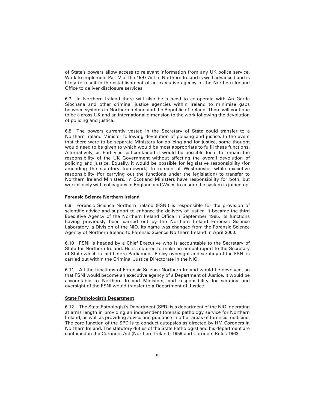of State's powers allow access to relevant information from any UK police service. Work to implement Part V of the 1997 Act in Northern Ireland is well advanced and is likely to result in the establishment of an executive agency of the Northern Ireland Office to deliver disclosure services.

6.7 In Northern Ireland there will also be a need to co-operate with An Garda Siochana and other criminal justice agencies within Ireland to minimise gaps between systems in Northern Ireland and the Republic of Ireland. There will continue to be a cross-UK and an international dimension to the work following the devolution of policing and justice.

6.8 The powers currently vested in the Secretary of State could transfer to a Northern Ireland Minister following devolution of policing and justice. In the event that there were to be separate Ministers for policing and for justice, some thought would need to be given to which would be most appropriate to fulfil these functions. Alternatively, as Part V is self-contained it would be possible for it to remain the responsibility of the UK Government without affecting the overall devolution of policing and justice. Equally, it would be possible for legislative responsibility (for amending the statutory framework) to remain at Westminster while executive responsibility (for carrying out the functions under the legislation) to transfer to Northern Ireland Ministers. In Scotland Ministers have responsibility for both, but work closely with colleagues in England and Wales to ensure the system is joined up.

#### **Forensic Science Northern Ireland**

6.9 Forensic Science Northern Ireland (FSNI) is responsible for the provision of scientific advice and support to enhance the delivery of justice. It became the third Executive Agency of the Northern Ireland Office in September 1995, its functions having previously been carried out by the Northern Ireland Forensic Science Laboratory, a Division of the NIO. Its name was changed from the Forensic Science Agency of Northern Ireland to Forensic Science Northern Ireland in April 2000.

6.10 FSNI is headed by a Chief Executive who is accountable to the Secretary of State for Northern Ireland. He is required to make an annual report to the Secretary of State which is laid before Parliament. Policy oversight and scrutiny of the FSNI is carried out within the Criminal Justice Directorate in the NIO.

6.11 All the functions of Forensic Science Northern Ireland would be devolved, so that FSNI would become an executive agency of a Department of Justice. It would be accountable to Northern Ireland Ministers, and responsibility for scrutiny and oversight of the FSNI would transfer to a Department of Justice.

#### **State Pathologist's Department**

6.12 The State Pathologist's Department (SPD) is a department of the NIO, operating at arms length in providing an independent forensic pathology service for Northern Ireland, as well as providing advice and guidance in other areas of forensic medicine. The core function of the SPD is to conduct autopsies as directed by HM Coroners in Northern Ireland. The statutory duties of the State Pathologist and his department are contained in the Coroners Act (Northern Ireland) 1959 and Coroners Rules 1963.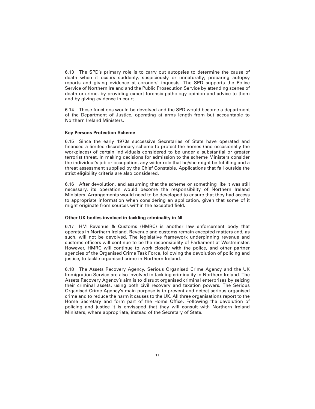6.13 The SPD's primary role is to carry out autopsies to determine the cause of death when it occurs suddenly, suspiciously or unnaturally; preparing autopsy reports and giving evidence at coroners' inquests. The SPD supports the Police Service of Northern Ireland and the Public Prosecution Service by attending scenes of death or crime, by providing expert forensic pathology opinion and advice to them and by giving evidence in court.

6.14 These functions would be devolved and the SPD would become a department of the Department of Justice, operating at arms length from but accountable to Northern Ireland Ministers.

#### **Key Persons Protection Scheme**

6.15 Since the early 1970s successive Secretaries of State have operated and financed a limited discretionary scheme to protect the homes (and occasionally the workplaces) of certain individuals considered to be under a substantial or greater terrorist threat. In making decisions for admission to the scheme Ministers consider the individual's job or occupation, any wider role that he/she might be fulfilling and a threat assessment supplied by the Chief Constable. Applications that fall outside the strict eligibility criteria are also considered.

6.16 After devolution, and assuming that the scheme or something like it was still necessary, its operation would become the responsibility of Northern Ireland Ministers. Arrangements would need to be developed to ensure that they had access to appropriate information when considering an application, given that some of it might originate from sources within the excepted field.

#### **Other UK bodies involved in tackling criminality in NI**

6.17 HM Revenue & Customs (HMRC) is another law enforcement body that operates in Northern Ireland. Revenue and customs remain excepted matters and, as such, will not be devolved. The legislative framework underpinning revenue and customs officers will continue to be the responsibility of Parliament at Westminster. However, HMRC will continue to work closely with the police, and other partner agencies of the Organised Crime Task Force, following the devolution of policing and justice, to tackle organised crime in Northern Ireland.

6.18 The Assets Recovery Agency, Serious Organised Crime Agency and the UK Immigration Service are also involved in tackling criminality in Northern Ireland. The Assets Recovery Agency's aim is to disrupt organised criminal enterprises by seizing their criminal assets, using both civil recovery and taxation powers. The Serious Organised Crime Agency's main purpose is to prevent and detect serious organised crime and to reduce the harm it causes to the UK. All three organisations report to the Home Secretary and form part of the Home Office. Following the devolution of policing and justice it is envisaged that they will consult with Northern Ireland Ministers, where appropriate, instead of the Secretary of State.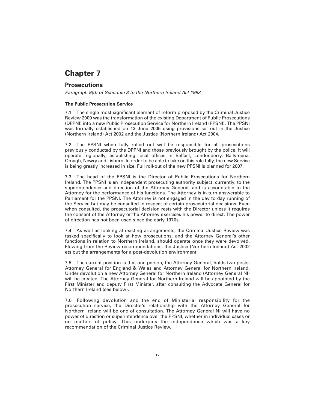### **Prosecutions**

*Paragraph 9(d) of Schedule 3 to the Northern Ireland Act 1998*

#### **The Public Prosecution Service**

7.1 The single most significant element of reform proposed by the Criminal Justice Review 2000 was the transformation of the existing Department of Public Prosecutions (DPPNI) into a new Public Prosecution Service for Northern Ireland (PPSNI). The PPSNI was formally established on 13 June 2005 using provisions set out in the Justice (Northern Ireland) Act 2002 and the Justice (Northern Ireland) Act 2004.

7.2 The PPSNI when fully rolled out will be responsible for all prosecutions previously conducted by the DPPNI and those previously brought by the police. It will operate regionally, establishing local offices in Belfast, Londonderry, Ballymena, Omagh, Newry and Lisburn. In order to be able to take on this role fully, the new Service is being greatly increased in size. Full roll-out of the new PPSNI is planned for 2007.

7.3 The head of the PPSNI is the Director of Public Prosecutions for Northern Ireland. The PPSNI is an independent prosecuting authority subject, currently, to the superintendence and direction of the Attorney General, and is accountable to the Attorney for the performance of his functions. The Attorney is in turn answerable to Parliament for the PPSNI. The Attorney is not engaged in the day to day running of the Service but may be consulted in respect of certain prosecutorial decisions. Even when consulted, the prosecutorial decision rests with the Director unless it requires the consent of the Attorney or the Attorney exercises his power to direct. The power of direction has not been used since the early 1970s.

7.4 As well as looking at existing arrangements, the Criminal Justice Review was tasked specifically to look at how prosecutions, and the Attorney General's other functions in relation to Northern Ireland, should operate once they were devolved. Flowing from the Review recommendations, the Justice (Northern Ireland) Act 2002 ets out the arrangements for a post-devolution environment.

7.5 The current position is that one person, the Attorney General, holds two posts: Attorney General for England & Wales and Attorney General for Northern Ireland. Under devolution a new Attorney General for Northern Ireland (Attorney General NI) will be created. The Attorney General for Northern Ireland will be appointed by the First Minister and deputy First Minister, after consulting the Advocate General for Northern Ireland (see below).

7.6 Following devolution and the end of Ministerial responsibility for the prosecution service, the Director's relationship with the Attorney General for Northern Ireland will be one of consultation. The Attorney General NI will have no power of direction or superintendence over the PPSNI, whether in individual cases or on matters of policy. This underpins the independence which was a key recommendation of the Criminal Justice Review.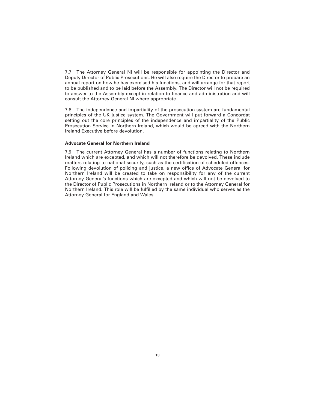7.7 The Attorney General NI will be responsible for appointing the Director and Deputy Director of Public Prosecutions. He will also require the Director to prepare an annual report on how he has exercised his functions, and will arrange for that report to be published and to be laid before the Assembly. The Director will not be required to answer to the Assembly except in relation to finance and administration and will consult the Attorney General NI where appropriate.

7.8 The independence and impartiality of the prosecution system are fundamental principles of the UK justice system. The Government will put forward a Concordat setting out the core principles of the independence and impartiality of the Public Prosecution Service in Northern Ireland, which would be agreed with the Northern Ireland Executive before devolution.

#### **Advocate General for Northern Ireland**

7.9 The current Attorney General has a number of functions relating to Northern Ireland which are excepted, and which will not therefore be devolved. These include matters relating to national security, such as the certification of scheduled offences. Following devolution of policing and justice, a new office of Advocate General for Northern Ireland will be created to take on responsibility for any of the current Attorney General's functions which are excepted and which will not be devolved to the Director of Public Prosecutions in Northern Ireland or to the Attorney General for Northern Ireland. This role will be fulfilled by the same individual who serves as the Attorney General for England and Wales.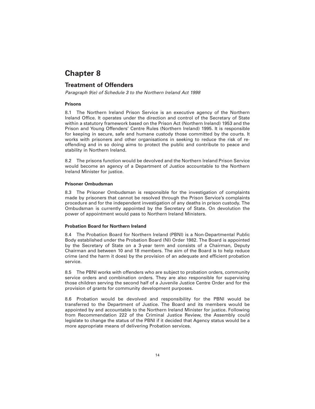### **Treatment of Offenders**

*Paragraph 9(e) of Schedule 3 to the Northern Ireland Act 1998*

#### **Prisons**

8.1 The Northern Ireland Prison Service is an executive agency of the Northern Ireland Office. It operates under the direction and control of the Secretary of State within a statutory framework based on the Prison Act (Northern Ireland) 1953 and the Prison and Young Offenders' Centre Rules (Northern Ireland) 1995. It is responsible for keeping in secure, safe and humane custody those committed by the courts. It works with prisoners and other organisations in seeking to reduce the risk of reoffending and in so doing aims to protect the public and contribute to peace and stability in Northern Ireland.

8.2 The prisons function would be devolved and the Northern Ireland Prison Service would become an agency of a Department of Justice accountable to the Northern Ireland Minister for justice.

#### **Prisoner Ombudsman**

8.3 The Prisoner Ombudsman is responsible for the investigation of complaints made by prisoners that cannot be resolved through the Prison Service's complaints procedure and for the independent investigation of any deaths in prison custody. The Ombudsman is currently appointed by the Secretary of State. On devolution the power of appointment would pass to Northern Ireland Ministers.

#### **Probation Board for Northern Ireland**

8.4 The Probation Board for Northern Ireland (PBNI) is a Non-Departmental Public Body established under the Probation Board (NI) Order 1982. The Board is appointed by the Secretary of State on a 3-year term and consists of a Chairman, Deputy Chairman and between 10 and 18 members. The aim of the Board is to help reduce crime (and the harm it does) by the provision of an adequate and efficient probation service.

8.5 The PBNI works with offenders who are subject to probation orders, community service orders and combination orders. They are also responsible for supervising those children serving the second half of a Juvenile Justice Centre Order and for the provision of grants for community development purposes.

8.6 Probation would be devolved and responsibility for the PBNI would be transferred to the Department of Justice. The Board and its members would be appointed by and accountable to the Northern Ireland Minister for justice. Following from Recommendation 222 of the Criminal Justice Review, the Assembly could legislate to change the status of the PBNI if it decided that Agency status would be a more appropriate means of delivering Probation services.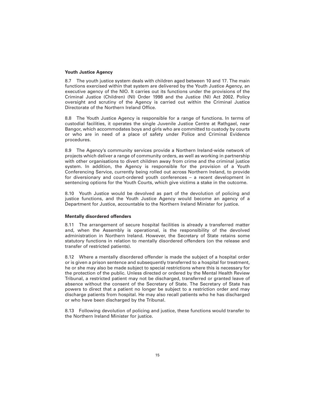#### **Youth Justice Agency**

8.7 The youth justice system deals with children aged between 10 and 17. The main functions exercised within that system are delivered by the Youth Justice Agency, an executive agency of the NIO. It carries out its functions under the provisions of the Criminal Justice (Children) (NI) Order 1998 and the Justice (NI) Act 2002. Policy oversight and scrutiny of the Agency is carried out within the Criminal Justice Directorate of the Northern Ireland Office.

8.8 The Youth Justice Agency is responsible for a range of functions. In terms of custodial facilities, it operates the single Juvenile Justice Centre at Rathgael, near Bangor, which accommodates boys and girls who are committed to custody by courts or who are in need of a place of safety under Police and Criminal Evidence procedures.

8.9 The Agency's community services provide a Northern Ireland-wide network of projects which deliver a range of community orders, as well as working in partnership with other organisations to divert children away from crime and the criminal justice system. In addition, the Agency is responsible for the provision of a Youth Conferencing Service, currently being rolled out across Northern Ireland, to provide for diversionary and court-ordered youth conferences – a recent development in sentencing options for the Youth Courts, which give victims a stake in the outcome.

8.10 Youth Justice would be devolved as part of the devolution of policing and justice functions, and the Youth Justice Agency would become an agency of a Department for Justice, accountable to the Northern Ireland Minister for justice.

#### **Mentally disordered offenders**

8.11 The arrangement of secure hospital facilities is already a transferred matter and, when the Assembly is operational, is the responsibility of the devolved administration in Northern Ireland. However, the Secretary of State retains some statutory functions in relation to mentally disordered offenders (on the release and transfer of restricted patients).

8.12 Where a mentally disordered offender is made the subject of a hospital order or is given a prison sentence and subsequently transferred to a hospital for treatment, he or she may also be made subject to special restrictions where this is necessary for the protection of the public. Unless directed or ordered by the Mental Health Review Tribunal, a restricted patient may not be discharged, transferred or granted leave of absence without the consent of the Secretary of State. The Secretary of State has powers to direct that a patient no longer be subject to a restriction order and may discharge patients from hospital. He may also recall patients who he has discharged or who have been discharged by the Tribunal.

8.13 Following devolution of policing and justice, these functions would transfer to the Northern Ireland Minister for justice.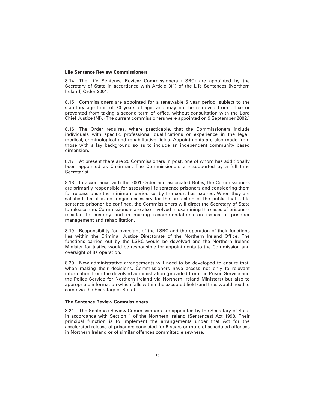#### **Life Sentence Review Commissioners**

8.14 The Life Sentence Review Commissioners (LSRC) are appointed by the Secretary of State in accordance with Article 3(1) of the Life Sentences (Northern Ireland) Order 2001.

8.15 Commissioners are appointed for a renewable 5 year period, subject to the statutory age limit of 70 years of age, and may not be removed from office or prevented from taking a second term of office, without consultation with the Lord Chief Justice (NI). (The current commissioners were appointed on 9 September 2002.)

8.16 The Order requires, where practicable, that the Commissioners include individuals with specific professional qualifications or experience in the legal, medical, criminological and rehabilitative fields. Appointments are also made from those with a lay background so as to include an independent community based dimension.

8.17 At present there are 25 Commissioners in post, one of whom has additionally been appointed as Chairman. The Commissioners are supported by a full time Secretariat.

8.18 In accordance with the 2001 Order and associated Rules, the Commissioners are primarily responsible for assessing life sentence prisoners and considering them for release once the minimum period set by the court has expired. When they are satisfied that it is no longer necessary for the protection of the public that a life sentence prisoner be confined, the Commissioners will direct the Secretary of State to release him. Commissioners are also involved in examining the cases of prisoners recalled to custody and in making recommendations on issues of prisoner management and rehabilitation.

8.19 Responsibility for oversight of the LSRC and the operation of their functions lies within the Criminal Justice Directorate of the Northern Ireland Office. The functions carried out by the LSRC would be devolved and the Northern Ireland Minister for justice would be responsible for appointments to the Commission and oversight of its operation.

8.20 New administrative arrangements will need to be developed to ensure that, when making their decisions, Commissioners have access not only to relevant information from the devolved administration (provided from the Prison Service and the Police Service for Northern Ireland via Northern Ireland Ministers) but also to appropriate information which falls within the excepted field (and thus would need to come via the Secretary of State).

#### **The Sentence Review Commissioners**

8.21 The Sentence Review Commissioners are appointed by the Secretary of State in accordance with Section 1 of the Northern Ireland (Sentences) Act 1998. Their principal function is to implement the arrangements under that Act for the accelerated release of prisoners convicted for 5 years or more of scheduled offences in Northern Ireland or of similar offences committed elsewhere.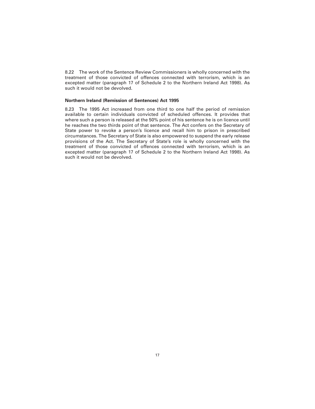8.22 The work of the Sentence Review Commissioners is wholly concerned with the treatment of those convicted of offences connected with terrorism, which is an excepted matter (paragraph 17 of Schedule 2 to the Northern Ireland Act 1998). As such it would not be devolved.

#### **Northern Ireland (Remission of Sentences) Act 1995**

8.23 The 1995 Act increased from one third to one half the period of remission available to certain individuals convicted of scheduled offences. It provides that where such a person is released at the 50% point of his sentence he is on licence until he reaches the two thirds point of that sentence. The Act confers on the Secretary of State power to revoke a person's licence and recall him to prison in prescribed circumstances. The Secretary of State is also empowered to suspend the early release provisions of the Act. The Secretary of State's role is wholly concerned with the treatment of those convicted of offences connected with terrorism, which is an excepted matter (paragraph 17 of Schedule 2 to the Northern Ireland Act 1998). As such it would not be devolved.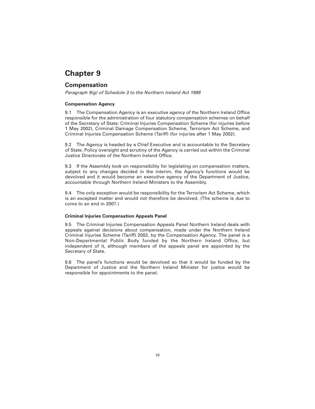### **Compensation**

*Paragraph 9(g) of Schedule 3 to the Northern Ireland Act 1998*

#### **Compensation Agency**

9.1 The Compensation Agency is an executive agency of the Northern Ireland Office responsible for the administration of four statutory compensation schemes on behalf of the Secretary of State: Criminal Injuries Compensation Scheme (for injuries before 1 May 2002), Criminal Damage Compensation Scheme, Terrorism Act Scheme, and Criminal Injuries Compensation Scheme (Tariff) (for injuries after 1 May 2002).

9.2 The Agency is headed by a Chief Executive and is accountable to the Secretary of State. Policy oversight and scrutiny of the Agency is carried out within the Criminal Justice Directorate of the Northern Ireland Office.

9.3 If the Assembly took on responsibility for legislating on compensation matters, subject to any changes decided in the interim, the Agency's functions would be devolved and it would become an executive agency of the Department of Justice, accountable through Northern Ireland Ministers to the Assembly.

9.4 The only exception would be responsibility for the Terrorism Act Scheme, which is an excepted matter and would not therefore be devolved. (The scheme is due to come to an end in 2007.)

#### **Criminal Injuries Compensation Appeals Panel**

9.5 The Criminal Injuries Compensation Appeals Panel Northern Ireland deals with appeals against decisions about compensation, made under the Northern Ireland Criminal Injuries Scheme (Tariff) 2002, by the Compensation Agency. The panel is a Non-Departmental Public Body funded by the Northern Ireland Office, but independent of it, although members of the appeals panel are appointed by the Secretary of State.

9.6 The panel's functions would be devolved so that it would be funded by the Department of Justice and the Northern Ireland Minister for justice would be responsible for appointments to the panel.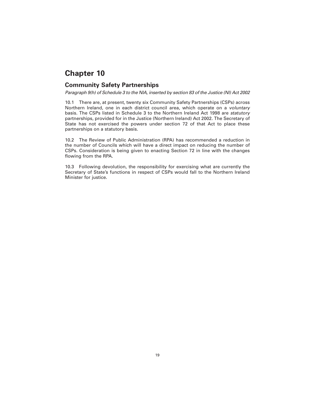### **Community Safety Partnerships**

*Paragraph 9(h) of Schedule 3 to the NIA, inserted by section 83 of the Justice (NI) Act 2002*

10.1 There are, at present, twenty six Community Safety Partnerships (CSPs) across Northern Ireland, one in each district council area, which operate on a *voluntary* basis. The CSPs listed in Schedule 3 to the Northern Ireland Act 1998 are *statutory* partnerships, provided for in the Justice (Northern Ireland) Act 2002. The Secretary of State has not exercised the powers under section 72 of that Act to place these partnerships on a statutory basis.

10.2 The Review of Public Administration (RPA) has recommended a reduction in the number of Councils which will have a direct impact on reducing the number of CSPs. Consideration is being given to enacting Section 72 in line with the changes flowing from the RPA.

10.3 Following devolution, the responsibility for exercising what are currently the Secretary of State's functions in respect of CSPs would fall to the Northern Ireland Minister for justice.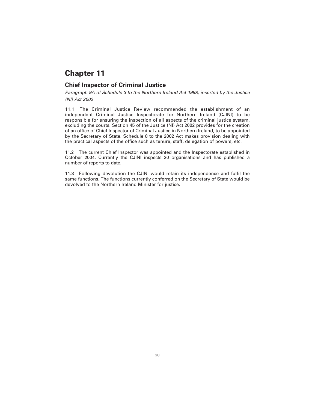### **Chief Inspector of Criminal Justice**

*Paragraph 9A of Schedule 3 to the Northern Ireland Act 1998, inserted by the Justice (NI) Act 2002*

11.1 The Criminal Justice Review recommended the establishment of an independent Criminal Justice Inspectorate for Northern Ireland (CJINI) to be responsible for ensuring the inspection of all aspects of the criminal justice system, excluding the courts. Section 45 of the Justice (NI) Act 2002 provides for the creation of an office of Chief Inspector of Criminal Justice in Northern Ireland, to be appointed by the Secretary of State. Schedule 8 to the 2002 Act makes provision dealing with the practical aspects of the office such as tenure, staff, delegation of powers, etc.

11.2 The current Chief Inspector was appointed and the Inspectorate established in October 2004. Currently the CJINI inspects 20 organisations and has published a number of reports to date.

11.3 Following devolution the CJINI would retain its independence and fulfil the same functions. The functions currently conferred on the Secretary of State would be devolved to the Northern Ireland Minister for justice.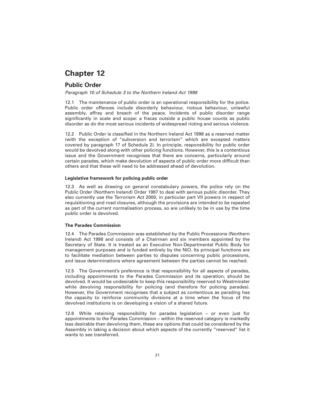### **Public Order**

*Paragraph 10 of Schedule 3 to the Northern Ireland Act 1998*

12.1 The maintenance of public order is an operational responsibility for the police. Public order offences include disorderly behaviour, riotous behaviour, unlawful assembly, affray and breach of the peace. Incidents of public disorder range significantly in scale and scope: a fracas outside a public house counts as public disorder as do the most serious incidents of widespread rioting and serious violence.

12.2 Public Order is classified in the Northern Ireland Act 1998 as a reserved matter (with the exception of "subversion and terrorism" which are excepted matters covered by paragraph 17 of Schedule 2). In principle, responsibility for public order would be devolved along with other policing functions. However, this is a contentious issue and the Government recognises that there are concerns, particularly around certain parades, which make devolution of aspects of public order more difficult than others and that these will need to be addressed ahead of devolution.

#### **Legislative framework for policing public order**

12.3 As well as drawing on general constabulary powers, the police rely on the Public Order (Northern Ireland) Order 1987 to deal with serious public disorder. They also currently use the Terrorism Act 2000, in particular part VII powers in respect of requisitioning and road closures, although the provisions are intended to be repealed as part of the current normalisation process, so are unlikely to be in use by the time public order is devolved.

#### **The Parades Commission**

12.4 The Parades Commission was established by the Public Processions (Northern Ireland) Act 1998 and consists of a Chairman and six members appointed by the Secretary of State. It is treated as an Executive Non-Departmental Public Body for management purposes and is funded entirely by the NIO. Its principal functions are to facilitate mediation between parties to disputes concerning public processions, and issue determinations where agreement between the parties cannot be reached.

12.5 The Government's preference is that responsibility for all aspects of parades, including appointments to the Parades Commission and its operation, should be devolved. It would be undesirable to keep this responsibility reserved to Westminster while devolving responsibility for policing (and therefore for policing parades). However, the Government recognises that a subject as contentious as parading has the capacity to reinforce community divisions at a time when the focus of the devolved institutions is on developing a vision of a shared future.

12.6 While retaining responsibility for parades legislation – or even just for appointments to the Parades Commission – within the reserved category is markedly less desirable than devolving them, these are options that could be considered by the Assembly in taking a decision about which aspects of the currently "reserved" list it wants to see transferred.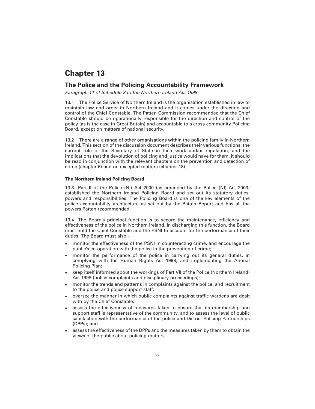### **The Police and the Policing Accountability Framework**

*Paragraph 11 of Schedule 3 to the Northern Ireland Act 1998*

13.1 The Police Service of Northern Ireland is the organisation established in law to maintain law and order in Northern Ireland and it comes under the direction and control of the Chief Constable. The Patten Commission recommended that the Chief Constable should be operationally responsible for the direction and control of the policy (as is the case in Great Britain) and accountable to a cross-community Policing Board, except on matters of national security.

13.2 There are a range of other organisations within the policing family in Northern Ireland. This section of the discussion document describes their various functions, the current role of the Secretary of State in their work and/or regulation, and the implications that the devolution of policing and justice would have for them. It should be read in conjunction with the relevant chapters on the prevention and detection of crime (chapter 6) and on excepted matters (chapter 18).

#### **The Northern Ireland Policing Board**

13.3 Part II of the Police (NI) Act 2000 (as amended by the Police (NI) Act 2003) established the Northern Ireland Policing Board and set out its statutory duties, powers and responsibilities. The Policing Board is one of the key elements of the police accountability architecture as set out by the Patten Report and has all the powers Patten recommended.

13.4 The Board's principal function is to secure the maintenance, efficiency and effectiveness of the police in Northern Ireland. In discharging this function, the Board must hold the Chief Constable and the PSNI to account for the performance of their duties. The Board must also:–

- monitor the effectiveness of the PSNI in counteracting crime, and encourage the public's co-operation with the police in the prevention of crime;
- monitor the performance of the police in carrying out its general duties, in complying with the Human Rights Act 1998, and implementing the Annual Policing Plan;
- keep itself informed about the workings of Part VII of the Police (Northern Ireland) Act 1998 (police complaints and disciplinary proceedings);
- monitor the trends and patterns in complaints against the police, and recruitment to the police and police support staff;
- oversee the manner in which public complaints against traffic wardens are dealt with by the Chief Constable;
- assess the effectiveness of measures taken to ensure that its membership and support staff is representative of the community, and to assess the level of public satisfaction with the performance of the police and District Policing Partnerships (DPPs); and
- assess the effectiveness of the DPPs and the measures taken by them to obtain the views of the public about policing matters.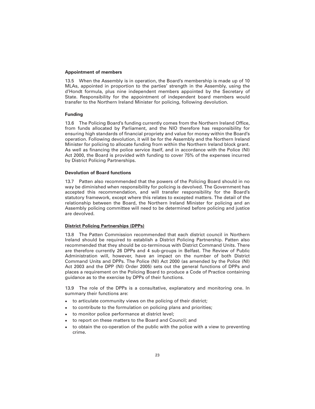#### **Appointment of members**

13.5 When the Assembly is in operation, the Board's membership is made up of 10 MLAs, appointed in proportion to the parties' strength in the Assembly, using the d'Hondt formula, plus nine independent members appointed by the Secretary of State. Responsibility for the appointment of independent board members would transfer to the Northern Ireland Minister for policing, following devolution.

#### **Funding**

13.6 The Policing Board's funding currently comes from the Northern Ireland Office, from funds allocated by Parliament, and the NIO therefore has responsibility for ensuring high standards of financial propriety and value for money within the Board's operation. Following devolution, it will be for the Assembly and the Northern Ireland Minister for policing to allocate funding from within the Northern Ireland block grant. As well as financing the police service itself, and in accordance with the Police (NI) Act 2000, the Board is provided with funding to cover 75% of the expenses incurred by District Policing Partnerships.

#### **Devolution of Board functions**

13.7 Patten also recommended that the powers of the Policing Board should in no way be diminished when responsibility for policing is devolved. The Government has accepted this recommendation, and will transfer responsibility for the Board's statutory framework, except where this relates to excepted matters. The detail of the relationship between the Board, the Northern Ireland Minister for policing and an Assembly policing committee will need to be determined before policing and justice are devolved.

#### **District Policing Partnerships (DPPs)**

13.8 The Patten Commission recommended that each district council in Northern Ireland should be required to establish a District Policing Partnership. Patten also recommended that they should be co-terminous with District Command Units. There are therefore currently 26 DPPs and 4 sub-groups in Belfast. The Review of Public Administration will, however, have an impact on the number of both District Command Units and DPPs. The Police (NI) Act 2000 (as amended by the Police (NI) Act 2003 and the DPP (NI) Order 2005) sets out the general functions of DPPs and places a requirement on the Policing Board to produce a Code of Practice containing guidance as to the exercise by DPPs of their functions.

13.9 The role of the DPPs is a consultative, explanatory and monitoring one. In summary their functions are:

- to articulate community views on the policing of their district;
- to contribute to the formulation on policing plans and priorities;
- to monitor police performance at district level;
- to report on these matters to the Board and Council; and
- to obtain the co-operation of the public with the police with a view to preventing crime.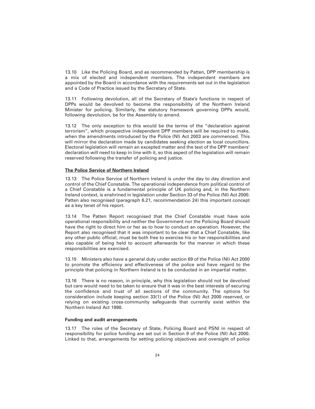13.10 Like the Policing Board, and as recommended by Patten, DPP membership is a mix of elected and independent members. The independent members are appointed by the Board in accordance with the requirements set out in the legislation and a Code of Practice issued by the Secretary of State.

13.11 Following devolution, all of the Secretary of State's functions in respect of DPPs would be devolved to become the responsibility of the Northern Ireland Minister for policing. Similarly, the statutory framework governing DPPs would, following devolution, be for the Assembly to amend.

13.12 The only exception to this would be the terms of the "declaration against terrorism", which prospective independent DPP members will be required to make, when the amendments introduced by the Police (NI) Act 2003 are commenced. This will mirror the declaration made by candidates seeking election as local councillors. Electoral legislation will remain an excepted matter and the text of the DPP members' declaration will need to keep in line with it, so this aspect of the legislation will remain reserved following the transfer of policing and justice.

#### **The Police Service of Northern Ireland**

13.13 The Police Service of Northern Ireland is under the day to day direction and control of the Chief Constable. The operational independence from political control of a Chief Constable is a fundamental principle of UK policing and, in the Northern Ireland context, is enshrined in legislation under Section 33 of the Police (NI) Act 2000. Patten also recognised (paragraph 6.21, recommendation 24) this important concept as a key tenet of his report.

13.14 The Patten Report recognised that the Chief Constable must have sole operational responsibility and neither the Government nor the Policing Board should have the right to direct him or her as to how to conduct an operation. However, the Report also recognised that it was important to be clear that a Chief Constable, like any other public official, must be both free to exercise his or her responsibilities and also capable of being held to account afterwards for the manner in which these responsibilities are exercised.

13.15 Ministers also have a general duty under section 69 of the Police (NI) Act 2000 to promote the efficiency and effectiveness of the police and have regard to the principle that policing in Northern Ireland is to be conducted in an impartial matter.

13.16 There is no reason, in principle, why this legislation should not be devolved but care would need to be taken to ensure that it was in the best interests of securing the confidence and trust of all sections of the community. The options for consideration include keeping section 33(1) of the Police (NI) Act 2000 reserved, or relying on existing cross-community safeguards that currently exist within the Northern Ireland Act 1998.

#### **Funding and audit arrangements**

13.17 The roles of the Secretary of State, Policing Board and PSNI in respect of responsibility for police funding are set out in Section 9 of the Police (NI) Act 2000. Linked to that, arrangements for setting policing objectives and oversight of police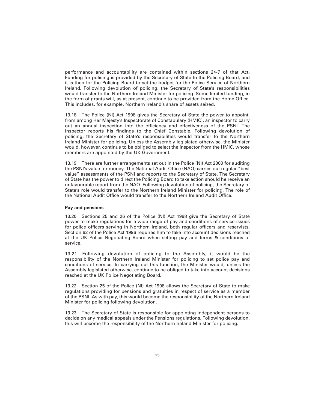performance and accountability are contained within sections 24-7 of that Act. Funding for policing is provided by the Secretary of State to the Policing Board, and it is then for the Policing Board to set the budget for the Police Service of Northern Ireland. Following devolution of policing, the Secretary of State's responsibilities would transfer to the Northern Ireland Minister for policing. Some limited funding, in the form of grants will, as at present, continue to be provided from the Home Office. This includes, for example, Northern Ireland's share of assets seized.

13.18 The Police (NI) Act 1998 gives the Secretary of State the power to appoint, from among Her Majesty's Inspectorate of Constabulary (HMIC), an inspector to carry out an annual inspection into the efficiency and effectiveness of the PSNI. The inspector reports his findings to the Chief Constable. Following devolution of policing, the Secretary of State's responsibilities would transfer to the Northern Ireland Minister for policing. Unless the Assembly legislated otherwise, the Minister would, however, continue to be obliged to select the inspector from the HMIC, whose members are appointed by the UK Government.

13.19 There are further arrangements set out in the Police (NI) Act 2000 for auditing the PSNI's value for money. The National Audit Office (NAO) carries out regular "best value" assessments of the PSNI and reports to the Secretary of State. The Secretary of State has the power to direct the Policing Board to take action should he receive an unfavourable report from the NAO. Following devolution of policing, the Secretary of State's role would transfer to the Northern Ireland Minister for policing. The role of the National Audit Office would transfer to the Northern Ireland Audit Office.

#### **Pay and pensions**

13.20 Sections 25 and 26 of the Police (NI) Act 1998 give the Secretary of State power to make regulations for a wide range of pay and conditions of service issues for police officers serving in Northern Ireland, both regular officers and reservists. Section 62 of the Police Act 1996 requires him to take into account decisions reached at the UK Police Negotiating Board when setting pay and terms & conditions of service.

13.21 Following devolution of policing to the Assembly, it would be the responsibility of the Northern Ireland Minister for policing to set police pay and conditions of service. In carrying out this function, the Minister would, unless the Assembly legislated otherwise, continue to be obliged to take into account decisions reached at the UK Police Negotiating Board.

13.22 Section 25 of the Police (NI) Act 1998 allows the Secretary of State to make regulations providing for pensions and gratuities in respect of service as a member of the PSNI. As with pay, this would become the responsibility of the Northern Ireland Minister for policing following devolution.

13.23 The Secretary of State is responsible for appointing independent persons to decide on any medical appeals under the Pensions regulations. Following devolution, this will become the responsibility of the Northern Ireland Minister for policing.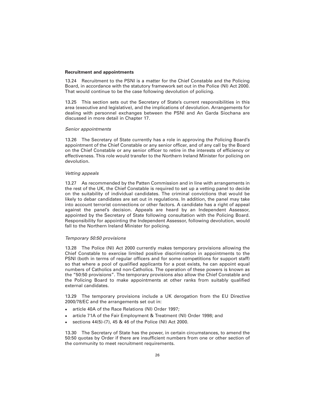#### **Recruitment and appointments**

13.24 Recruitment to the PSNI is a matter for the Chief Constable and the Policing Board, in accordance with the statutory framework set out in the Police (NI) Act 2000. That would continue to be the case following devolution of policing.

13.25 This section sets out the Secretary of State's current responsibilities in this area (executive and legislative), and the implications of devolution. Arrangements for dealing with personnel exchanges between the PSNI and An Garda Siochana are discussed in more detail in Chapter 17.

#### *Senior appointments*

13.26 The Secretary of State currently has a role in approving the Policing Board's appointment of the Chief Constable or any senior officer, and of any call by the Board on the Chief Constable or any senior officer to retire in the interests of efficiency or effectiveness. This role would transfer to the Northern Ireland Minister for policing on devolution.

#### *Vetting appeals*

13.27 As recommended by the Patten Commission and in line with arrangements in the rest of the UK, the Chief Constable is required to set up a vetting panel to decide on the suitability of individual candidates. The criminal convictions that would be likely to debar candidates are set out in regulations. In addition, the panel may take into account terrorist connections or other factors. A candidate has a right of appeal against the panel's decision. Appeals are heard by an Independent Assessor, appointed by the Secretary of State following consultation with the Policing Board. Responsibility for appointing the Independent Assessor, following devolution, would fall to the Northern Ireland Minister for policing.

#### *Temporary 50:50 provisions*

13.28 The Police (NI) Act 2000 currently makes temporary provisions allowing the Chief Constable to exercise limited positive discrimination in appointments to the PSNI (both in terms of regular officers and for some competitions for support staff) so that where a pool of qualified applicants for a post exists, he can appoint equal numbers of Catholics and non-Catholics. The operation of these powers is known as the "50:50 provisions". The temporary provisions also allow the Chief Constable and the Policing Board to make appointments at other ranks from suitably qualified external candidates.

13.29 The temporary provisions include a UK derogation from the EU Directive 2000/78/EC and the arrangements set out in:

- article 40A of the Race Relations (NI) Order 1997;
- article 71A of the Fair Employment & Treatment (NI) Order 1998; and
- sections 44(5)-(7), 45 & 46 of the Police (NI) Act 2000.

13.30 The Secretary of State has the power, in certain circumstances, to amend the 50:50 quotas by Order if there are insufficient numbers from one or other section of the community to meet recruitment requirements.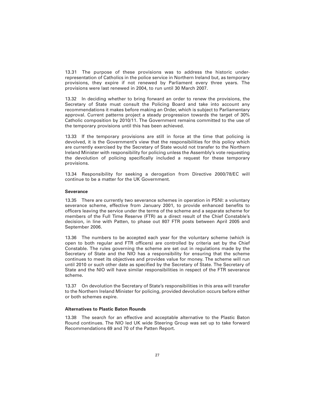13.31 The purpose of these provisions was to address the historic underrepresentation of Catholics in the police service in Northern Ireland but, as temporary provisions, they expire if not renewed by Parliament every three years. The provisions were last renewed in 2004, to run until 30 March 2007.

13.32 In deciding whether to bring forward an order to renew the provisions, the Secretary of State must consult the Policing Board and take into account any recommendations it makes before making an Order, which is subject to Parliamentary approval. Current patterns project a steady progression towards the target of 30% Catholic composition by 2010/11. The Government remains committed to the use of the temporary provisions until this has been achieved.

13.33 If the temporary provisions are still in force at the time that policing is devolved, it is the Government's view that the responsibilities for this policy which are currently exercised by the Secretary of State would not transfer to the Northern Ireland Minister with responsibility for policing unless the Assembly's vote requesting the devolution of policing specifically included a request for these temporary provisions.

13.34 Responsibility for seeking a derogation from Directive 2000/78/EC will continue to be a matter for the UK Government.

#### **Severance**

13.35 There are currently two severance schemes in operation in PSNI: a voluntary severance scheme, effective from January 2001, to provide enhanced benefits to officers leaving the service under the terms of the scheme and a separate scheme for members of the Full Time Reserve (FTR) as a direct result of the Chief Constable's decision, in line with Patten, to phase out 807 FTR posts between April 2005 and September 2006.

13.36 The numbers to be accepted each year for the voluntary scheme (which is open to both regular and FTR officers) are controlled by criteria set by the Chief Constable. The rules governing the scheme are set out in regulations made by the Secretary of State and the NIO has a responsibility for ensuring that the scheme continues to meet its objectives and provides value for money. The scheme will run until 2010 or such other date as specified by the Secretary of State. The Secretary of State and the NIO will have similar responsibilities in respect of the FTR severance scheme.

13.37 On devolution the Secretary of State's responsibilities in this area will transfer to the Northern Ireland Minister for policing, provided devolution occurs before either or both schemes expire.

#### **Alternatives to Plastic Baton Rounds**

13.38 The search for an effective and acceptable alternative to the Plastic Baton Round continues. The NIO led UK wide Steering Group was set up to take forward Recommendations 69 and 70 of the Patten Report.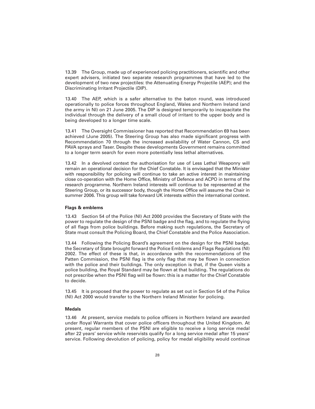13.39 The Group, made up of experienced policing practitioners, scientific and other expert advisers, initiated two separate research programmes that have led to the development of two new projectiles: the Attenuating Energy Projectile (AEP); and the Discriminating Irritant Projectile (DIP).

13.40 The AEP, which is a safer alternative to the baton round, was introduced operationally to police forces throughout England, Wales and Northern Ireland (and the army in NI) on 21 June 2005. The DIP is designed temporarily to incapacitate the individual through the delivery of a small cloud of irritant to the upper body and is being developed to a longer time scale.

13.41 The Oversight Commissioner has reported that Recommendation 69 has been achieved (June 2005). The Steering Group has also made significant progress with Recommendation 70 through the increased availability of Water Cannon, CS and PAVA sprays and Taser. Despite these developments Government remains committed to a longer term search for even more potentially less lethal alternatives.

13.42 In a devolved context the authorisation for use of Less Lethal Weaponry will remain an operational decision for the Chief Constable. It is envisaged that the Minister with responsibility for policing will continue to take an active interest in maintaining close co-operation with the Home Office, Ministry of Defence and ACPO in terms of the research programme. Northern Ireland interests will continue to be represented at the Steering Group, or its successor body, though the Home Office will assume the Chair in summer 2006. This group will take forward UK interests within the international context.

#### **Flags & emblems**

13.43 Section 54 of the Police (NI) Act 2000 provides the Secretary of State with the power to regulate the design of the PSNI badge and the flag, and to regulate the flying of all flags from police buildings. Before making such regulations, the Secretary of State must consult the Policing Board, the Chief Constable and the Police Association.

13.44 Following the Policing Board's agreement on the design for the PSNI badge, the Secretary of State brought forward the Police Emblems and Flags Regulations (NI) 2002. The effect of these is that, in accordance with the recommendations of the Patten Commission, the PSNI flag is the only flag that may be flown in connection with the police and their buildings. The only exception is that, if the Queen visits a police building, the Royal Standard may be flown at that building. The regulations do not prescribe when the PSNI flag will be flown: this is a matter for the Chief Constable to decide.

13.45 It is proposed that the power to regulate as set out in Section 54 of the Police (NI) Act 2000 would transfer to the Northern Ireland Minister for policing.

#### **Medals**

13.46 At present, service medals to police officers in Northern Ireland are awarded under Royal Warrants that cover police officers throughout the United Kingdom. At present, regular members of the PSNI are eligible to receive a long service medal after 22 years' service while reservists qualify for a long service medal after 15 years' service. Following devolution of policing, policy for medal eligibility would continue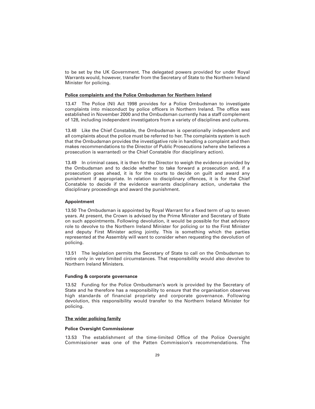to be set by the UK Government. The delegated powers provided for under Royal Warrants would, however, transfer from the Secretary of State to the Northern Ireland Minister for policing.

#### **Police complaints and the Police Ombudsman for Northern Ireland**

13.47 The Police (NI) Act 1998 provides for a Police Ombudsman to investigate complaints into misconduct by police officers in Northern Ireland. The office was established in November 2000 and the Ombudsman currently has a staff complement of 128, including independent investigators from a variety of disciplines and cultures.

13.48 Like the Chief Constable, the Ombudsman is operationally independent and all complaints about the police must be referred to her. The complaints system is such that the Ombudsman provides the investigative role in handling a complaint and then makes recommendations to the Director of Public Prosecutions (where she believes a prosecution is warranted) or the Chief Constable (for disciplinary action).

13.49 In criminal cases, it is then for the Director to weigh the evidence provided by the Ombudsman and to decide whether to take forward a prosecution and, if a prosecution goes ahead, it is for the courts to decide on guilt and award any punishment if appropriate. In relation to disciplinary offences, it is for the Chief Constable to decide if the evidence warrants disciplinary action, undertake the disciplinary proceedings and award the punishment.

#### **Appointment**

13.50 The Ombudsman is appointed by Royal Warrant for a fixed term of up to seven years. At present, the Crown is advised by the Prime Minister and Secretary of State on such appointments. Following devolution, it would be possible for that advisory role to devolve to the Northern Ireland Minister for policing or to the First Minister and deputy First Minister acting jointly. This is something which the parties represented at the Assembly will want to consider when requesting the devolution of policing.

13.51 The legislation permits the Secretary of State to call on the Ombudsman to retire only in very limited circumstances. That responsibility would also devolve to Northern Ireland Ministers.

#### **Funding & corporate governance**

13.52 Funding for the Police Ombudsman's work is provided by the Secretary of State and he therefore has a responsibility to ensure that the organisation observes high standards of financial propriety and corporate governance. Following devolution, this responsibility would transfer to the Northern Ireland Minister for policing.

#### **The wider policing family**

#### **Police Oversight Commissioner**

13.53 The establishment of the time-limited Office of the Police Oversight Commissioner was one of the Patten Commission's recommendations. The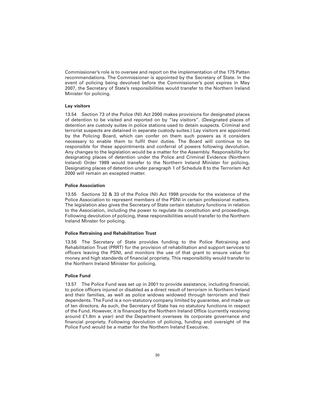Commissioner's role is to oversee and report on the implementation of the 175 Patten recommendations. The Commissioner is appointed by the Secretary of State. In the event of policing being devolved before the Commissioner's post expires in May 2007, the Secretary of State's responsibilities would transfer to the Northern Ireland Minister for policing.

#### **Lay visitors**

13.54 Section 73 of the Police (NI) Act 2000 makes provisions for designated places of detention to be visited and reported on by "lay visitors". (Designated places of detention are custody suites in police stations used to detain suspects. Criminal and terrorist suspects are detained in separate custody suites.) Lay visitors are appointed by the Policing Board, which can confer on them such powers as it considers necessary to enable them to fulfil their duties. The Board will continue to be responsible for these appointments and conferral of powers following devolution. Any changes to the legislation would be a matter for the Assembly. Responsibility for designating places of detention under the Police and Criminal Evidence (Northern Ireland) Order 1989 would transfer to the Northern Ireland Minister for policing. Designating places of detention under paragraph 1 of Schedule 8 to the Terrorism Act 2000 will remain an excepted matter.

#### **Police Association**

13.55 Sections 32 & 33 of the Police (NI) Act 1998 provide for the existence of the Police Association to represent members of the PSNI in certain professional matters. The legislation also gives the Secretary of State certain statutory functions in relation to the Association, including the power to regulate its constitution and proceedings. Following devolution of policing, these responsibilities would transfer to the Northern Ireland Minster for policing.

#### **Police Retraining and Rehabilitation Trust**

13.56 The Secretary of State provides funding to the Police Retraining and Rehabilitation Trust (PRRT) for the provision of rehabilitation and support services to officers leaving the PSNI, and monitors the use of that grant to ensure value for money and high standards of financial propriety. This responsibility would transfer to the Northern Ireland Minister for policing.

#### **Police Fund**

13.57 The Police Fund was set up in 2001 to provide assistance, including financial, to police officers injured or disabled as a direct result of terrorism in Northern Ireland and their families, as well as police widows widowed through terrorism and their dependents. The Fund is a non-statutory company limited by guarantee, and made up of ten directors. As such, the Secretary of State has no statutory functions in respect of the Fund. However, it is financed by the Northern Ireland Office (currently receiving around £1.8m a year) and the Department oversees its corporate governance and financial propriety. Following devolution of policing, funding and oversight of the Police Fund would be a matter for the Northern Ireland Executive.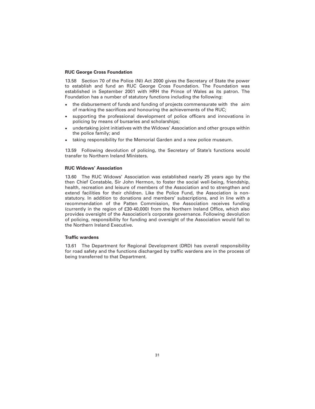#### **RUC George Cross Foundation**

13.58 Section 70 of the Police (NI) Act 2000 gives the Secretary of State the power to establish and fund an RUC George Cross Foundation. The Foundation was established in September 2001 with HRH the Prince of Wales as its patron. The Foundation has a number of statutory functions including the following:

- the disbursement of funds and funding of projects commensurate with the aim of marking the sacrifices and honouring the achievements of the RUC;
- supporting the professional development of police officers and innovations in policing by means of bursaries and scholarships;
- undertaking joint initiatives with the Widows' Association and other groups within the police family; and
- taking responsibility for the Memorial Garden and a new police museum.

13.59 Following devolution of policing, the Secretary of State's functions would transfer to Northern Ireland Ministers.

#### **RUC Widows' Association**

13.60 The RUC Widows' Association was established nearly 25 years ago by the then Chief Constable, Sir John Hermon, to foster the social well-being, friendship, health, recreation and leisure of members of the Association and to strengthen and extend facilities for their children. Like the Police Fund, the Association is nonstatutory. In addition to donations and members' subscriptions, and in line with a recommendation of the Patten Commission, the Association receives funding (currently in the region of £30-40,000) from the Northern Ireland Office, which also provides oversight of the Association's corporate governance. Following devolution of policing, responsibility for funding and oversight of the Association would fall to the Northern Ireland Executive.

#### **Traffic wardens**

13.61 The Department for Regional Development (DRD) has overall responsibility for road safety and the functions discharged by traffic wardens are in the process of being transferred to that Department.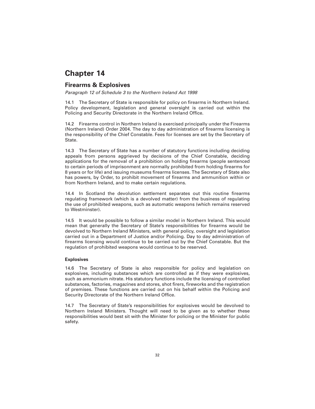### **Firearms & Explosives**

*Paragraph 12 of Schedule 3 to the Northern Ireland Act 1998*

14.1 The Secretary of State is responsible for policy on firearms in Northern Ireland. Policy development, legislation and general oversight is carried out within the Policing and Security Directorate in the Northern Ireland Office.

14.2 Firearms control in Northern Ireland is exercised principally under the Firearms (Northern Ireland) Order 2004. The day to day administration of firearms licensing is the responsibility of the Chief Constable. Fees for licenses are set by the Secretary of **State** 

14.3 The Secretary of State has a number of statutory functions including deciding appeals from persons aggrieved by decisions of the Chief Constable, deciding applications for the removal of a prohibition on holding firearms (people sentenced to certain periods of imprisonment are normally prohibited from holding firearms for 8 years or for life) and issuing museums firearms licenses. The Secretary of State also has powers, by Order, to prohibit movement of firearms and ammunition within or from Northern Ireland, and to make certain regulations.

14.4 In Scotland the devolution settlement separates out this routine firearms regulating framework (which is a devolved matter) from the business of regulating the use of prohibited weapons, such as automatic weapons (which remains reserved to Westminster).

14.5 It would be possible to follow a similar model in Northern Ireland. This would mean that generally the Secretary of State's responsibilities for firearms would be devolved to Northern Ireland Ministers, with general policy, oversight and legislation carried out in a Department of Justice and/or Policing. Day to day administration of firearms licensing would continue to be carried out by the Chief Constable. But the regulation of prohibited weapons would continue to be reserved.

#### **Explosives**

14.6 The Secretary of State is also responsible for policy and legislation on explosives, including substances which are controlled as if they were explosives, such as ammonium nitrate. His statutory functions include the licensing of controlled substances, factories, magazines and stores, shot firers, fireworks and the registration of premises. These functions are carried out on his behalf within the Policing and Security Directorate of the Northern Ireland Office.

14.7 The Secretary of State's responsibilities for explosives would be devolved to Northern Ireland Ministers. Thought will need to be given as to whether these responsibilities would best sit with the Minister for policing or the Minister for public safety.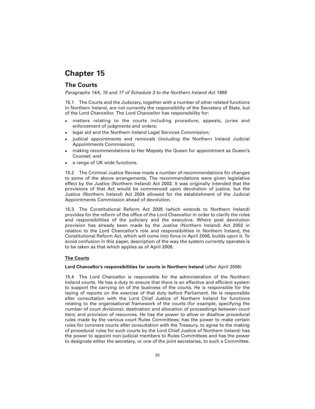### **The Courts**

*Paragraphs 14A, 15 and 17 of Schedule 3 to the Northern Ireland Act 1998* 

15.1 The Courts and the Judiciary, together with a number of other related functions in Northern Ireland, are not currently the responsibility of the Secretary of State, but of the Lord Chancellor. The Lord Chancellor has responsibility for:

- matters relating to the courts including procedure, appeals, juries and enforcement of judgments and orders;
- legal aid and the Northern Ireland Legal Services Commission;
- judicial appointments and removals (including the Northern Ireland Judicial Appointments Commission);
- making recommendations to Her Majesty the Queen for appointment as Queen's Counsel; and
- a range of UK wide functions.

15.2 The Criminal Justice Review made a number of recommendations for changes to some of the above arrangements. The recommendations were given legislative effect by the Justice (Northern Ireland) Act 2002. It was originally intended that the provisions of that Act would be commenced upon devolution of justice, but the Justice (Northern Ireland) Act 2004 allowed for the establishment of the Judicial Appointments Commission ahead of devolution.

15.3 The Constitutional Reform Act 2005 (which extends to Northern Ireland) provides for the reform of the office of the Lord Chancellor in order to clarify the roles and responsibilities of the judiciary and the executive. Where post devolution provision has already been made by the Justice (Northern Ireland) Act 2002 in relation to the Lord Chancellor's role and responsibilities in Northern Ireland, the Constitutional Reform Act, which will come into force in April 2006, builds upon it. To avoid confusion in this paper, description of the way the system currently operates is to be taken as that which applies as of April 2006.

#### **The Courts**

#### **Lord Chancellor's responsibilities for courts in Northern Ireland** (after April 2006)

15.4 The Lord Chancellor is responsible for the administration of the Northern Ireland courts. He has a duty to ensure that there is an effective and efficient system to support the carrying on of the business of the courts. He is responsible for the laying of reports on the exercise of that duty before Parliament. He is responsible after consultation with the Lord Chief Justice of Northern Ireland for functions relating to the organisational framework of the courts (for example, specifying the number of court divisions); destination and allocation of proceedings between court tiers; and provision of resources. He has the power to allow or disallow procedural rules made by the various court Rules Committees; has the power to make certain rules for coroners courts after consultation with the Treasury, to agree to the making of procedural rules for such courts by the Lord Chief Justice of Northern Ireland; has the power to appoint non-judicial members to Rules Committees and has the power to designate either the secretary, or one of the joint secretaries, to such a Committee.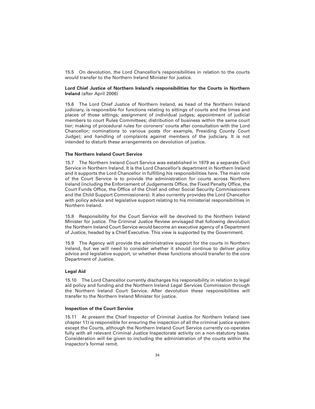15.5 On devolution, the Lord Chancellor's responsibilities in relation to the courts would transfer to the Northern Ireland Minister for justice.

#### **Lord Chief Justice of Northern Ireland's responsibilities for the Courts in Northern Ireland** (after April 2006)

15.6 The Lord Chief Justice of Northern Ireland, as head of the Northern Ireland judiciary, is responsible for functions relating to sittings of courts and the times and places of those sittings; assignment of individual judges; appointment of judicial members to court Rules Committees; distribution of business within the same court tier; making of procedural rules for coroners' courts after consultation with the Lord Chancellor; nominations to various posts (for example, Presiding County Court Judge); and handling of complaints against members of the judiciary. It is not intended to disturb these arrangements on devolution of justice.

#### **The Northern Ireland Court Service**

15.7 The Northern Ireland Court Service was established in 1979 as a separate Civil Service in Northern Ireland. It is the Lord Chancellor's department in Northern Ireland and it supports the Lord Chancellor in fulfilling his responsibilities here. The main role of the Court Service is to provide the administration for courts across Northern Ireland (including the Enforcement of Judgements Office, the Fixed Penalty Office, the Court Funds Office, the Office of the Chief and other Social Security Commissioners and the Child Support Commissioners). It also currently provides the Lord Chancellor with policy advice and legislative support relating to his ministerial responsibilities in Northern Ireland.

15.8 Responsibility for the Court Service will be devolved to the Northern Ireland Minister for justice. The Criminal Justice Review envisaged that following devolution the Northern Ireland Court Service would become an executive agency of a Department of Justice, headed by a Chief Executive. This view is supported by the Government.

15.9 The Agency will provide the administrative support for the courts in Northern Ireland, but we will need to consider whether it should continue to deliver policy advice and legislative support, or whether these functions should transfer to the core Department of Justice.

#### **Legal Aid**

15.10 The Lord Chancellor currently discharges his responsibility in relation to legal aid policy and funding and the Northern Ireland Legal Services Commission through the Northern Ireland Court Service. After devolution these responsibilities will transfer to the Northern Ireland Minister for justice.

#### **Inspection of the Court Service**

15.11 At present the Chief Inspector of Criminal Justice for Northern Ireland (see chapter 11) is responsible for ensuring the inspection of all the criminal justice system except the Courts, although the Northern Ireland Court Service currently co-operates fully with all relevant Criminal Justice Inspectorate activity on a non-statutory basis. Consideration will be given to including the administration of the courts within the Inspector's formal remit.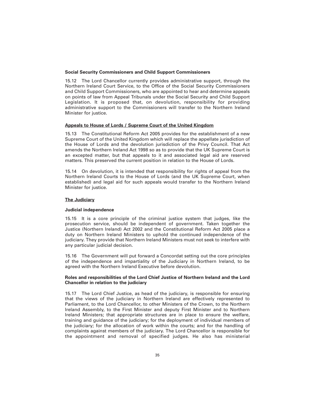#### **Social Security Commissioners and Child Support Commissioners**

15.12 The Lord Chancellor currently provides administrative support, through the Northern Ireland Court Service, to the Office of the Social Security Commissioners and Child Support Commissioners, who are appointed to hear and determine appeals on points of law from Appeal Tribunals under the Social Security and Child Support Legislation. It is proposed that, on devolution, responsibility for providing administrative support to the Commissioners will transfer to the Northern Ireland Minister for justice.

#### **Appeals to House of Lords / Supreme Court of the United Kingdom**

15.13 The Constitutional Reform Act 2005 provides for the establishment of a new Supreme Court of the United Kingdom which will replace the appellate jurisdiction of the House of Lords and the devolution jurisdiction of the Privy Council. That Act amends the Northern Ireland Act 1998 so as to provide that the UK Supreme Court is an excepted matter, but that appeals to it and associated legal aid are reserved matters. This preserved the current position in relation to the House of Lords.

15.14 On devolution, it is intended that responsibility for rights of appeal from the Northern Ireland Courts to the House of Lords (and the UK Supreme Court, when established) and legal aid for such appeals would transfer to the Northern Ireland Minister for justice.

#### **The Judiciary**

#### **Judicial independence**

15.15 It is a core principle of the criminal justice system that judges, like the prosecution service, should be independent of government. Taken together the Justice (Northern Ireland) Act 2002 and the Constitutional Reform Act 2005 place a duty on Northern Ireland Ministers to uphold the continued independence of the judiciary. They provide that Northern Ireland Ministers must not seek to interfere with any particular judicial decision.

15.16 The Government will put forward a Concordat setting out the core principles of the independence and impartiality of the Judiciary in Northern Ireland, to be agreed with the Northern Ireland Executive before devolution.

#### **Roles and responsibilities of the Lord Chief Justice of Northern Ireland and the Lord Chancellor in relation to the judiciary**

15.17 The Lord Chief Justice, as head of the judiciary, is responsible for ensuring that the views of the judiciary in Northern Ireland are effectively represented to Parliament, to the Lord Chancellor, to other Ministers of the Crown, to the Northern Ireland Assembly, to the First Minister and deputy First Minister and to Northern Ireland Ministers; that appropriate structures are in place to ensure the welfare, training and guidance of the judiciary; for the deployment of individual members of the judiciary; for the allocation of work within the courts; and for the handling of complaints against members of the judiciary. The Lord Chancellor is responsible for the appointment and removal of specified judges. He also has ministerial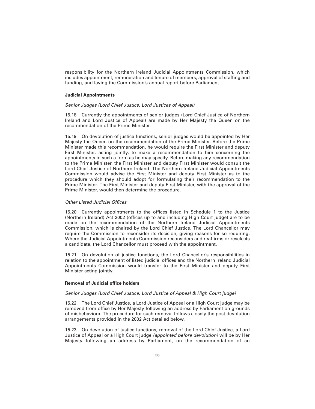responsibility for the Northern Ireland Judicial Appointments Commission, which includes appointment, remuneration and tenure of members, approval of staffing and funding, and laying the Commission's annual report before Parliament.

#### **Judicial Appointments**

#### *Senior Judges (Lord Chief Justice, Lord Justices of Appeal)*

15.18 Currently the appointments of senior judges (Lord Chief Justice of Northern Ireland and Lord Justice of Appeal) are made by Her Majesty the Queen on the recommendation of the Prime Minister.

15.19 On devolution of justice functions, senior judges would be appointed by Her Majesty the Queen on the recommendation of the Prime Minister. Before the Prime Minister made this recommendation, he would require the First Minister and deputy First Minister, acting jointly, to make a recommendation to him concerning the appointments in such a form as he may specify. Before making any recommendation to the Prime Minister, the First Minister and deputy First Minister would consult the Lord Chief Justice of Northern Ireland. The Northern Ireland Judicial Appointments Commission would advise the First Minister and deputy First Minister as to the procedure which they should adopt for formulating their recommendation to the Prime Minister. The First Minister and deputy First Minister, with the approval of the Prime Minister, would then determine the procedure.

#### *Other Listed Judicial Offices*

15.20 Currently appointments to the offices listed in Schedule 1 to the Justice (Northern Ireland) Act 2002 (offices up to and including High Court judge) are to be made on the recommendation of the Northern Ireland Judicial Appointments Commission, which is chaired by the Lord Chief Justice. The Lord Chancellor may require the Commission to reconsider its decision, giving reasons for so requiring. Where the Judicial Appointments Commission reconsiders and reaffirms or reselects a candidate, the Lord Chancellor must proceed with the appointment.

15.21 On devolution of justice functions, the Lord Chancellor's responsibilities in relation to the appointment of listed judicial offices and the Northern Ireland Judicial Appointments Commission would transfer to the First Minister and deputy First Minister acting jointly.

#### **Removal of Judicial office holders**

#### *Senior Judges (Lord Chief Justice, Lord Justice of Appeal & High Court judge)*

15.22 The Lord Chief Justice, a Lord Justice of Appeal or a High Court judge may be removed from office by Her Majesty following an address by Parliament on grounds of misbehaviour. The procedure for such removal follows closely the post devolution arrangements provided in the 2002 Act detailed below.

15.23 On devolution of justice functions, removal of the Lord Chief Justice, a Lord Justice of Appeal or a High Court judge *(appointed before devolution)* will be by Her Majesty following an address by Parliament, on the recommendation of an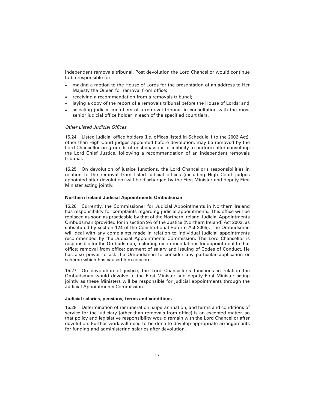independent removals tribunal. Post devolution the Lord Chancellor would continue to be responsible for:

- making a motion to the House of Lords for the presentation of an address to Her Majesty the Queen for removal from office;
- receiving a recommendation from a removals tribunal;
- laying a copy of the report of a removals tribunal before the House of Lords; and
- selecting judicial members of a removal tribunal in consultation with the most senior judicial office holder in each of the specified court tiers.

#### *Other Listed Judicial Offices*

15.24 Listed judicial office holders (i.e. offices listed in Schedule 1 to the 2002 Act), other than High Court judges appointed before devolution, may be removed by the Lord Chancellor on grounds of misbehaviour or inability to perform after consulting the Lord Chief Justice, following a recommendation of an independent removals tribunal.

15.25 On devolution of justice functions, the Lord Chancellor's responsibilities in relation to the removal from listed judicial offices (including High Court judges appointed after devolution) will be discharged by the First Minister and deputy First Minister acting jointly.

#### **Northern Ireland Judicial Appointments Ombudsman**

15.26 Currently, the Commissioner for Judicial Appointments in Northern Ireland has responsibility for complaints regarding judicial appointments. This office will be replaced as soon as practicable by that of the Northern Ireland Judicial Appointments Ombudsman (provided for in section 9A of the Justice (Northern Ireland) Act 2002, as substituted by section 124 of the Constitutional Reform Act 2005). The Ombudsman will deal with any complaints made in relation to individual judicial appointments recommended by the Judicial Appointments Commission. The Lord Chancellor is responsible for the Ombudsman, including recommendations for appointment to that office; removal from office; payment of salary and issuing of Codes of Conduct. He has also power to ask the Ombudsman to consider any particular application or scheme which has caused him concern.

15.27 On devolution of justice, the Lord Chancellor's functions in relation the Ombudsman would devolve to the First Minister and deputy First Minister acting jointly as these Ministers will be responsible for judicial appointments through the Judicial Appointments Commission.

#### **Judicial salaries, pensions, terms and conditions**

15.28 Determination of remuneration, superannuation, and terms and conditions of service for the judiciary (other than removals from office) is an excepted matter, so that policy and legislative responsibility would remain with the Lord Chancellor after devolution. Further work will need to be done to develop appropriate arrangements for funding and administering salaries after devolution.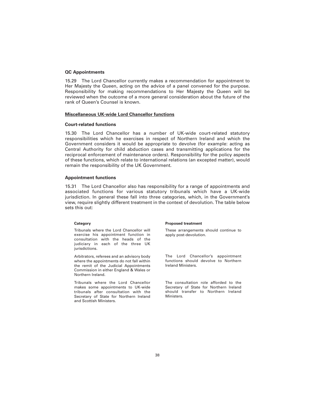#### **QC Appointments**

15.29 The Lord Chancellor currently makes a recommendation for appointment to Her Majesty the Queen, acting on the advice of a panel convened for the purpose. Responsibility for making recommendations to Her Majesty the Queen will be reviewed when the outcome of a more general consideration about the future of the rank of Queen's Counsel is known.

#### **Miscellaneous UK-wide Lord Chancellor functions**

#### **Court-related functions**

15.30 The Lord Chancellor has a number of UK-wide court-related statutory responsibilities which he exercises in respect of Northern Ireland and which the Government considers it would be appropriate to devolve (for example: acting as Central Authority for child abduction cases and transmitting applications for the reciprocal enforcement of maintenance orders). Responsibility for the policy aspects of these functions, which relate to international relations (an excepted matter), would remain the responsibility of the UK Government.

#### **Appointment functions**

15.31 The Lord Chancellor also has responsibility for a range of appointments and associated functions for various statutory tribunals which have a UK-wide jurisdiction. In general these fall into three categories, which, in the Government's view, require slightly different treatment in the context of devolution. The table below sets this out:

#### **Category**

Tribunals where the Lord Chancellor will exercise his appointment function in consultation with the heads of the judiciary in each of the three UK jurisdictions.

Arbitrators, referees and an advisory body where the appointments do not fall within the remit of the Judicial Appointments Commission in either England & Wales or Northern Ireland.

Tribunals where the Lord Chancellor makes some appointments to UK-wide tribunals after consultation with the Secretary of State for Northern Ireland and Scottish Ministers.

#### **Proposed treatment**

These arrangements should continue to apply post-devolution.

The Lord Chancellor's appointment functions should devolve to Northern Ireland Ministers.

The consultation role afforded to the Secretary of State for Northern Ireland should transfer to Northern Ireland Ministers.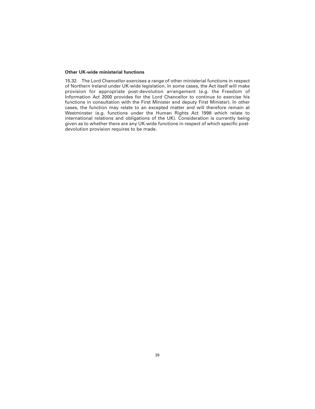#### **Other UK-wide ministerial functions**

15.32 The Lord Chancellor exercises a range of other ministerial functions in respect of Northern Ireland under UK-wide legislation. In some cases, the Act itself will make provision for appropriate post-devolution arrangement (e.g. the Freedom of Information Act 2000 provides for the Lord Chancellor to continue to exercise his functions in consultation with the First Minister and deputy First Minister). In other cases, the function may relate to an excepted matter and will therefore remain at Westminster (e.g. functions under the Human Rights Act 1998 which relate to international relations and obligations of the UK). Consideration is currently being given as to whether there are any UK-wide functions in respect of which specific postdevolution provision requires to be made.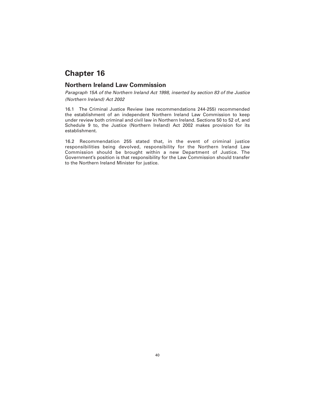### **Northern Ireland Law Commission**

*Paragraph 15A of the Northern Ireland Act 1998, inserted by section 83 of the Justice (Northern Ireland) Act 2002*

16.1 The Criminal Justice Review (see recommendations 244-255) recommended the establishment of an independent Northern Ireland Law Commission to keep under review both criminal and civil law in Northern Ireland. Sections 50 to 52 of, and Schedule 9 to, the Justice (Northern Ireland) Act 2002 makes provision for its establishment.

16.2 Recommendation 255 stated that, in the event of criminal justice responsibilities being devolved, responsibility for the Northern Ireland Law Commission should be brought within a new Department of Justice. The Government's position is that responsibility for the Law Commission should transfer to the Northern Ireland Minister for justice.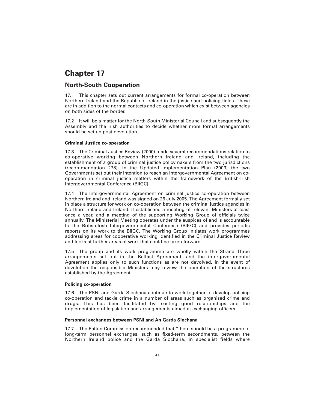### **North-South Cooperation**

17.1 This chapter sets out current arrangements for formal co-operation between Northern Ireland and the Republic of Ireland in the justice and policing fields. These are in addition to the normal contacts and co-operation which exist between agencies on both sides of the border.

17.2 It will be a matter for the North-South Ministerial Council and subsequently the Assembly and the Irish authorities to decide whether more formal arrangements should be set up post-devolution.

#### **Criminal Justice co-operation**

17.3 The Criminal Justice Review (2000) made several recommendations relation to co-operative working between Northern Ireland and Ireland, including the establishment of a group of criminal justice policymakers from the two jurisdictions (recommendation 278). In the Updated Implementation Plan (2003) the two Governments set out their intention to reach an Intergovernmental Agreement on cooperation in criminal justice matters within the framework of the British-Irish Intergovernmental Conference (BIIGC).

17.4 The Intergovernmental Agreement on criminal justice co-operation between Northern Ireland and Ireland was signed on 26 July 2005. The Agreement formally set in place a structure for work on co-operation between the criminal justice agencies in Northern Ireland and Ireland. It established a meeting of relevant Ministers at least once a year, and a meeting of the supporting Working Group of officials twice annually. The Ministerial Meeting operates under the auspices of and is accountable to the British-Irish Intergovernmental Conference (BIIGC) and provides periodic reports on its work to the BIIGC. The Working Group initiates work programmes addressing areas for cooperative working identified in the Criminal Justice Review and looks at further areas of work that could be taken forward.

17.5 The group and its work programme are wholly within the Strand Three arrangements set out in the Belfast Agreement, and the intergovernmental Agreement applies only to such functions as are not devolved. In the event of devolution the responsible Ministers may review the operation of the structures established by the Agreement.

#### **Policing co-operation**

17.6 The PSNI and Garda Siochana continue to work together to develop policing co-operation and tackle crime in a number of areas such as organised crime and drugs. This has been facilitated by existing good relationships and the implementation of legislation and arrangements aimed at exchanging officers.

#### **Personnel exchanges between PSNI and An Garda Siochana**

17.7 The Patten Commission recommended that "there should be a programme of long-term personnel exchanges, such as fixed-term secondments, between the Northern Ireland police and the Garda Siochana, in specialist fields where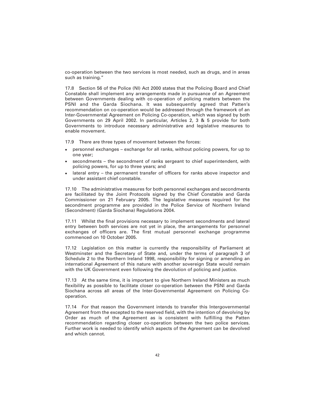co-operation between the two services is most needed, such as drugs, and in areas such as training."

17.8 Section 56 of the Police (NI) Act 2000 states that the Policing Board and Chief Constable shall implement any arrangements made in pursuance of an Agreement between Governments dealing with co-operation of policing matters between the PSNI and the Garda Siochana. It was subsequently agreed that Patten's recommendation on co-operation would be addressed through the framework of an Inter-Governmental Agreement on Policing Co-operation, which was signed by both Governments on 29 April 2002. In particular, Articles 2, 3 & 5 provide for both Governments to introduce necessary administrative and legislative measures to enable movement.

17.9 There are three types of movement between the forces:

- personnel exchanges exchange for all ranks, without policing powers, for up to one year;
- secondments the secondment of ranks sergeant to chief superintendent, with policing powers, for up to three years; and
- lateral entry the permanent transfer of officers for ranks above inspector and under assistant chief constable.

17.10 The administrative measures for both personnel exchanges and secondments are facilitated by the Joint Protocols signed by the Chief Constable and Garda Commissioner on 21 February 2005. The legislative measures required for the secondment programme are provided in the Police Service of Northern Ireland (Secondment) (Garda Siochana) Regulations 2004.

17.11 Whilst the final provisions necessary to implement secondments and lateral entry between both services are not yet in place, the arrangements for personnel exchanges of officers are. The first mutual personnel exchange programme commenced on 10 October 2005.

17.12 Legislation on this matter is currently the responsibility of Parliament at Westminster and the Secretary of State and, under the terms of paragraph 3 of Schedule 2 to the Northern Ireland 1998, responsibility for signing or amending an international Agreement of this nature with another sovereign State would remain with the UK Government even following the devolution of policing and justice.

17.13 At the same time, it is important to give Northern Ireland Ministers as much flexibility as possible to facilitate closer co-operation between the PSNI and Garda Siochana across all areas of the Inter-Governmental Agreement on Policing Cooperation.

17.14 For that reason the Government intends to transfer this Intergovernmental Agreement from the excepted to the reserved field, with the intention of devolving by Order as much of the Agreement as is consistent with fulfilling the Patten recommendation regarding closer co-operation between the two police services. Further work is needed to identify which aspects of the Agreement can be devolved and which cannot.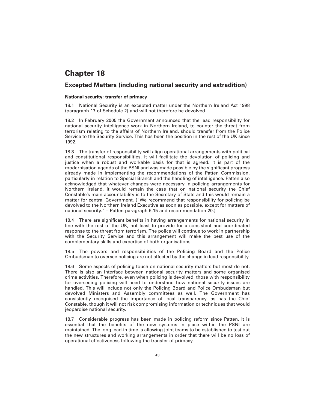### **Excepted Matters (including national security and extradition)**

#### **National security: transfer of primacy**

18.1 National Security is an excepted matter under the Northern Ireland Act 1998 (paragraph 17 of Schedule 2) and will not therefore be devolved.

18.2 In February 2005 the Government announced that the lead responsibility for national security intelligence work in Northern Ireland, to counter the threat from terrorism relating to the affairs of Northern Ireland, should transfer from the Police Service to the Security Service. This has been the position in the rest of the UK since 1992.

18.3 The transfer of responsibility will align operational arrangements with political and constitutional responsibilities. It will facilitate the devolution of policing and justice when a robust and workable basis for that is agreed. It is part of the modernisation agenda of the PSNI and was made possible by the significant progress already made in implementing the recommendations of the Patten Commission, particularly in relation to Special Branch and the handling of intelligence. Patten also acknowledged that whatever changes were necessary in policing arrangements for Northern Ireland, it would remain the case that on national security the Chief Constable's main accountability is to the Secretary of State and this would remain a matter for central Government. ("We recommend that responsibility for policing be devolved to the Northern Ireland Executive as soon as possible, except for matters of national security." – Patten paragraph 6.15 and recommendation 20.)

18.4 There are significant benefits in having arrangements for national security in line with the rest of the UK, not least to provide for a consistent and coordinated response to the threat from terrorism. The police will continue to work in partnership with the Security Service and this arrangement will make the best use of the complementary skills and expertise of both organisations.

18.5 The powers and responsibilities of the Policing Board and the Police Ombudsman to oversee policing are not affected by the change in lead responsibility.

18.6 Some aspects of policing touch on national security matters but most do not. There is also an interface between national security matters and some organised crime activities. Therefore, even when policing is devolved, those with responsibility for overseeing policing will need to understand how national security issues are handled. This will include not only the Policing Board and Police Ombudsman but devolved Ministers and Assembly committees as well. The Government has consistently recognised the importance of local transparency, as has the Chief Constable, though it will not risk compromising information or techniques that would jeopardise national security.

18.7 Considerable progress has been made in policing reform since Patten. It is essential that the benefits of the new systems in place within the PSNI are maintained. The long lead-in time is allowing joint teams to be established to test out the new structures and working arrangements in order that there will be no loss of operational effectiveness following the transfer of primacy.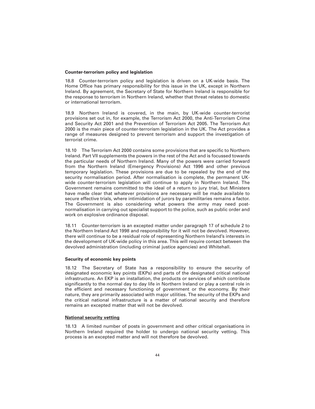#### **Counter-terrorism policy and legislation**

18.8 Counter-terrorism policy and legislation is driven on a UK-wide basis. The Home Office has primary responsibility for this issue in the UK, except in Northern Ireland. By agreement, the Secretary of State for Northern Ireland is responsible for the response to terrorism in Northern Ireland, whether that threat relates to domestic or international terrorism.

18.9 Northern Ireland is covered, in the main, by UK-wide counter-terrorist provisions set out in, for example, the Terrorism Act 2000, the Anti-Terrorism Crime and Security Act 2001 and the Prevention of Terrorism Act 2005. The Terrorism Act 2000 is the main piece of counter-terrorism legislation in the UK. The Act provides a range of measures designed to prevent terrorism and support the investigation of terrorist crime.

18.10 The Terrorism Act 2000 contains some provisions that are specific to Northern Ireland. Part VII supplements the powers in the rest of the Act and is focussed towards the particular needs of Northern Ireland. Many of the powers were carried forward from the Northern Ireland (Emergency Provisions) Act 1996 and other previous temporary legislation. These provisions are due to be repealed by the end of the security normalisation period. After normalisation is complete, the permanent UKwide counter-terrorism legislation will continue to apply in Northern Ireland. The Government remains committed to the ideal of a return to jury trial, but Ministers have made clear that whatever provisions are necessary will be made available to secure effective trials, where intimidation of jurors by paramilitaries remains a factor. The Government is also considering what powers the army may need postnormalisation in carrying out specialist support to the police, such as public order and work on explosive ordinance disposal.

18.11 Counter-terrorism is an excepted matter under paragraph 17 of schedule 2 to the Northern Ireland Act 1998 and responsibility for it will not be devolved. However, there will continue to be a residual role of representing Northern Ireland's interests in the development of UK-wide policy in this area. This will require contact between the devolved administration (including criminal justice agencies) and Whitehall.

#### **Security of economic key points**

18.12 The Secretary of State has a responsibility to ensure the security of designated economic key points (EKPs) and parts of the designated critical national infrastructure. An EKP is an installation, the products or services of which contribute significantly to the normal day to day life in Northern Ireland or play a central role in the efficient and necessary functioning of government or the economy. By their nature, they are primarily associated with major utilities. The security of the EKPs and the critical national infrastructure is a matter of national security and therefore remains an excepted matter that will not be devolved.

#### **National security vetting**

18.13 A limited number of posts in government and other critical organisations in Northern Ireland required the holder to undergo national security vetting. This process is an excepted matter and will not therefore be devolved.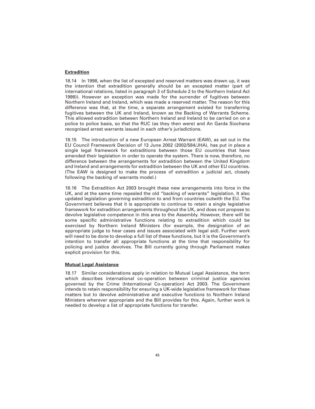#### **Extradition**

18.14 In 1998, when the list of excepted and reserved matters was drawn up, it was the intention that extradition generally should be an excepted matter (part of international relations, listed in paragraph 3 of Schedule 2 to the Northern Ireland Act 1998)). However an exception was made for the surrender of fugitives between Northern Ireland and Ireland, which was made a reserved matter. The reason for this difference was that, at the time, a separate arrangement existed for transferring fugitives between the UK and Ireland, known as the Backing of Warrants Scheme. This allowed extradition between Northern Ireland and Ireland to be carried on on a police to police basis, so that the RUC (as they then were) and An Garda Siochana recognised arrest warrants issued in each other's jurisdictions.

18.15 The introduction of a new European Arrest Warrant (EAW), as set out in the EU Council Framework Decision of 13 June 2002 (2002/584/JHA), has put in place a single legal framework for extraditions between those EU countries that have amended their legislation in order to operate the system. There is now, therefore, no difference between the arrangements for extradition between the United Kingdom and Ireland and arrangements for extradition between the UK and other EU countries. (The EAW is designed to make the process of extradition a judicial act, closely following the backing of warrants model.)

18.16 The Extradition Act 2003 brought these new arrangements into force in the UK, and at the same time repealed the old "backing of warrants" legislation. It also updated legislation governing extradition to and from countries outwith the EU. The Government believes that it is appropriate to continue to retain a single legislative framework for extradition arrangements throughout the UK, and does not propose to devolve legislative competence in this area to the Assembly. However, there will be some specific administrative functions relating to extradition which could be exercised by Northern Ireland Ministers (for example, the designation of an appropriate judge to hear cases and issues associated with legal aid). Further work will need to be done to develop a full list of these functions, but it is the Government's intention to transfer all appropriate functions at the time that responsibility for policing and justice devolves. The Bill currently going through Parliament makes explicit provision for this.

#### **Mutual Legal Assistance**

18.17 Similar considerations apply in relation to Mutual Legal Assistance, the term which describes international co-operation between criminal justice agencies governed by the Crime (International Co-operation) Act 2003. The Government intends to retain responsibility for ensuring a UK-wide legislative framework for these matters but to devolve administrative and executive functions to Northern Ireland Ministers wherever appropriate and the Bill provides for this. Again, further work is needed to develop a list of appropriate functions for transfer.